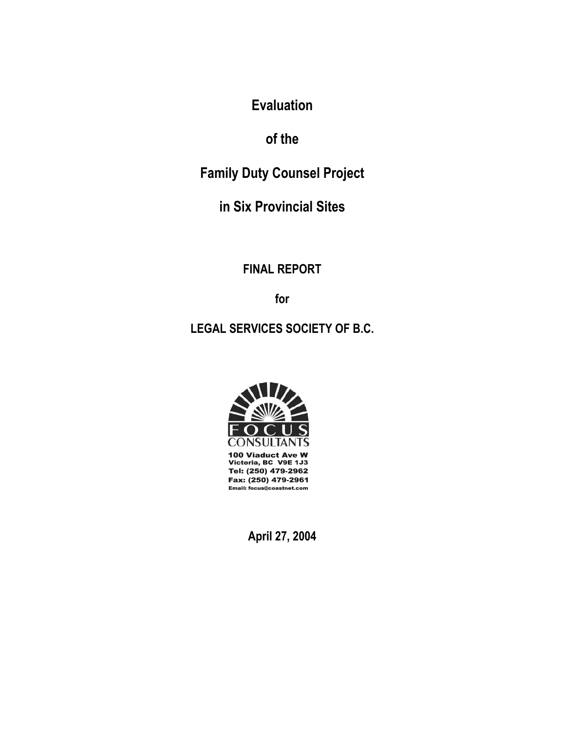**Evaluation** 

**of the** 

**Family Duty Counsel Project** 

**in Six Provincial Sites** 

**FINAL REPORT** 

**for** 

**LEGAL SERVICES SOCIETY OF B.C.** 



100 Viaduct Ave W Victoria, BC V9E 1J3 Tel: (250) 479-2962 Fax: (250) 479-2961 Email: focus@coastnet.com

**April 27, 2004**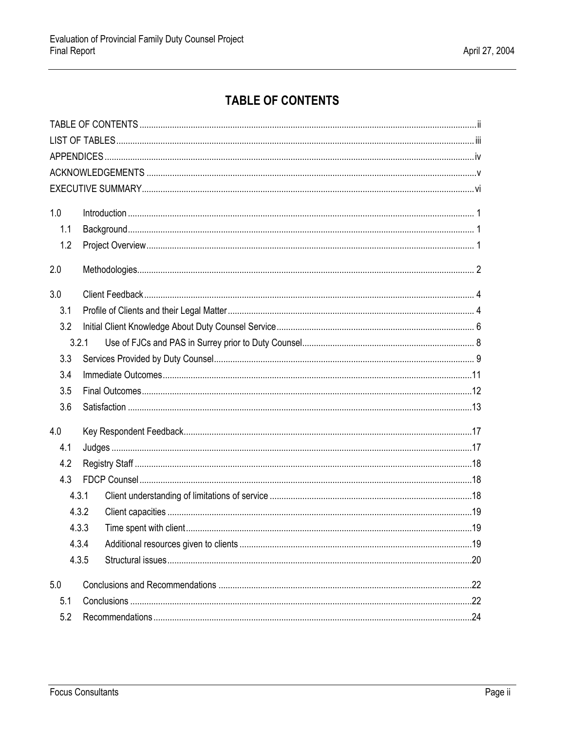# **TABLE OF CONTENTS**

<span id="page-1-0"></span>

| 1.0 |       |  |
|-----|-------|--|
| 1.1 |       |  |
| 1.2 |       |  |
| 2.0 |       |  |
| 3.0 |       |  |
| 3.1 |       |  |
| 3.2 |       |  |
|     | 3.2.1 |  |
| 3.3 |       |  |
| 3.4 |       |  |
| 3.5 |       |  |
| 3.6 |       |  |
| 4.0 |       |  |
| 4.1 |       |  |
| 4.2 |       |  |
| 4.3 |       |  |
|     | 4.3.1 |  |
|     | 4.3.2 |  |
|     | 4.3.3 |  |
|     | 4.3.4 |  |
|     | 4.3.5 |  |
| 5.0 |       |  |
| 5.1 |       |  |
| 5.2 |       |  |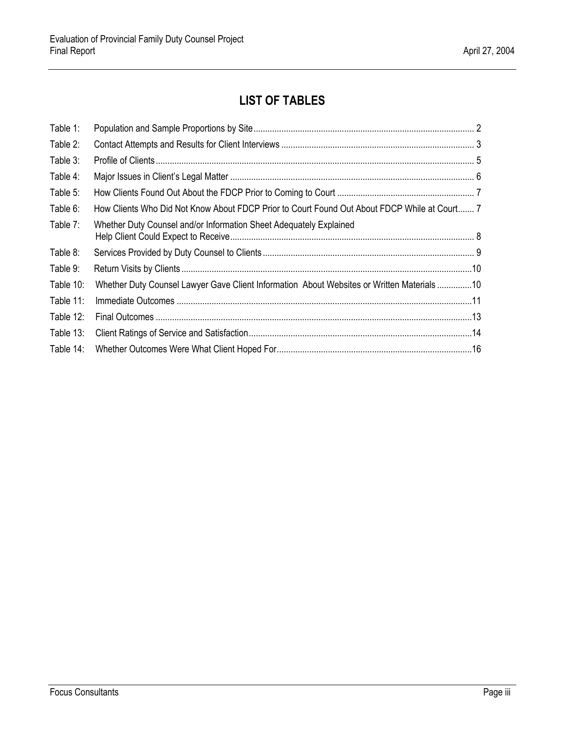# **LIST OF TABLES**

<span id="page-2-0"></span>

| Table 1:  |                                                                                              |  |
|-----------|----------------------------------------------------------------------------------------------|--|
| Table 2:  |                                                                                              |  |
| Table 3:  |                                                                                              |  |
| Table 4:  |                                                                                              |  |
| Table 5:  |                                                                                              |  |
| Table 6:  | How Clients Who Did Not Know About FDCP Prior to Court Found Out About FDCP While at Court 7 |  |
| Table 7:  | Whether Duty Counsel and/or Information Sheet Adequately Explained                           |  |
| Table 8:  |                                                                                              |  |
| Table 9:  |                                                                                              |  |
| Table 10: | Whether Duty Counsel Lawyer Gave Client Information About Websites or Written Materials10    |  |
| Table 11: |                                                                                              |  |
| Table 12: |                                                                                              |  |
| Table 13: |                                                                                              |  |
| Table 14: |                                                                                              |  |
|           |                                                                                              |  |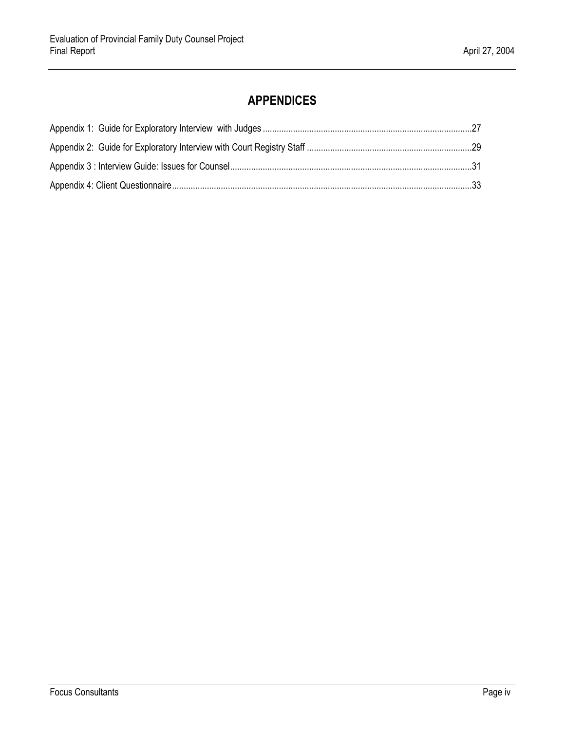# **APPENDICES**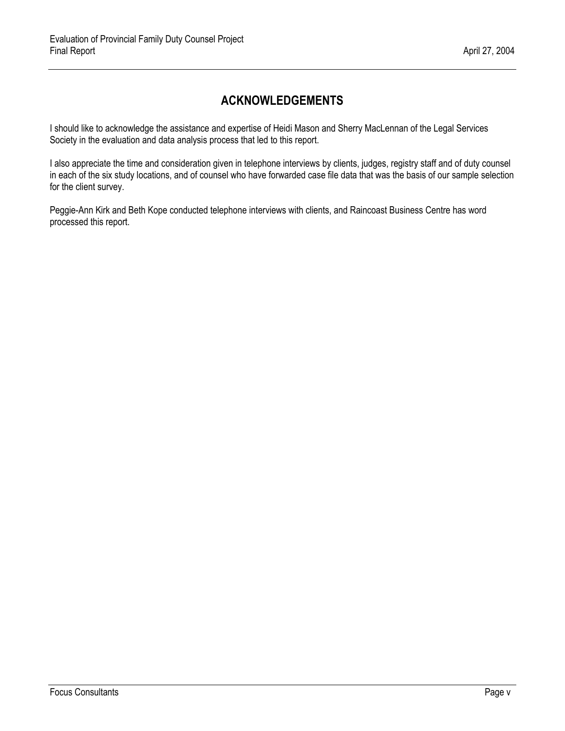# **ACKNOWLEDGEMENTS**

<span id="page-4-0"></span>I should like to acknowledge the assistance and expertise of Heidi Mason and Sherry MacLennan of the Legal Services Society in the evaluation and data analysis process that led to this report.

I also appreciate the time and consideration given in telephone interviews by clients, judges, registry staff and of duty counsel in each of the six study locations, and of counsel who have forwarded case file data that was the basis of our sample selection for the client survey.

Peggie-Ann Kirk and Beth Kope conducted telephone interviews with clients, and Raincoast Business Centre has word processed this report.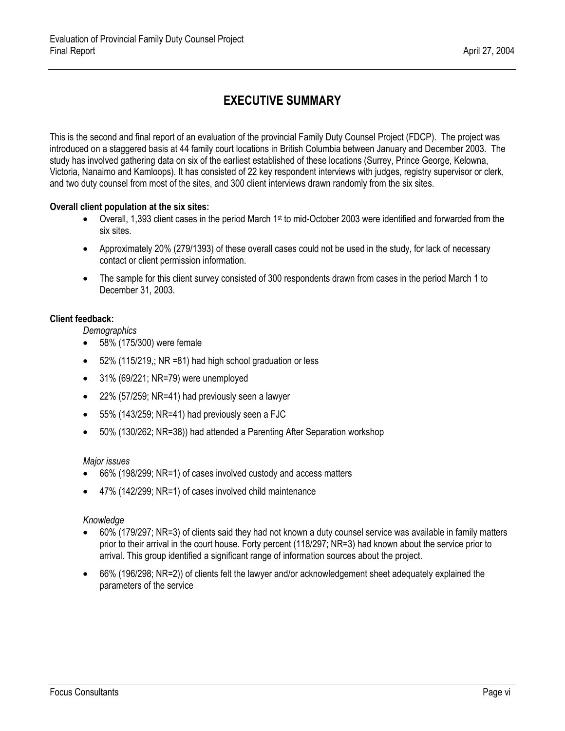# **EXECUTIVE SUMMARY**

<span id="page-5-0"></span>This is the second and final report of an evaluation of the provincial Family Duty Counsel Project (FDCP). The project was introduced on a staggered basis at 44 family court locations in British Columbia between January and December 2003. The study has involved gathering data on six of the earliest established of these locations (Surrey, Prince George, Kelowna, Victoria, Nanaimo and Kamloops). It has consisted of 22 key respondent interviews with judges, registry supervisor or clerk, and two duty counsel from most of the sites, and 300 client interviews drawn randomly from the six sites.

#### **Overall client population at the six sites:**

- Overall, 1,393 client cases in the period March 1<sup>st</sup> to mid-October 2003 were identified and forwarded from the six sites.
- Approximately 20% (279/1393) of these overall cases could not be used in the study, for lack of necessary contact or client permission information.
- The sample for this client survey consisted of 300 respondents drawn from cases in the period March 1 to December 31, 2003.

#### **Client feedback:**

*Demographics*

- 58% (175/300) were female
- 52% (115/219,; NR =81) had high school graduation or less
- 31% (69/221; NR=79) were unemployed
- 22% (57/259; NR=41) had previously seen a lawyer
- 55% (143/259; NR=41) had previously seen a FJC
- 50% (130/262; NR=38)) had attended a Parenting After Separation workshop

#### *Major issues*

- 66% (198/299; NR=1) of cases involved custody and access matters
- 47% (142/299; NR=1) of cases involved child maintenance

#### *Knowledge*

- 60% (179/297; NR=3) of clients said they had not known a duty counsel service was available in family matters prior to their arrival in the court house. Forty percent (118/297; NR=3) had known about the service prior to arrival. This group identified a significant range of information sources about the project.
- 66% (196/298; NR=2)) of clients felt the lawyer and/or acknowledgement sheet adequately explained the parameters of the service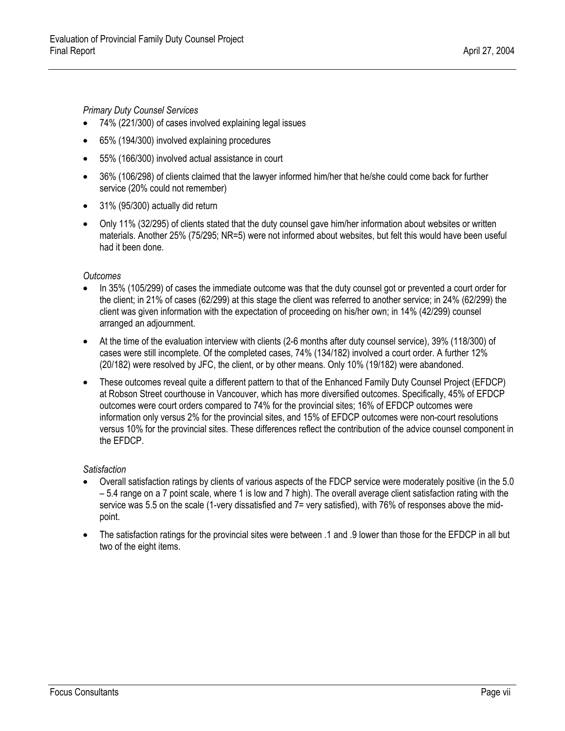*Primary Duty Counsel Services* 

- 74% (221/300) of cases involved explaining legal issues
- 65% (194/300) involved explaining procedures
- 55% (166/300) involved actual assistance in court
- 36% (106/298) of clients claimed that the lawyer informed him/her that he/she could come back for further service (20% could not remember)
- 31% (95/300) actually did return
- Only 11% (32/295) of clients stated that the duty counsel gave him/her information about websites or written materials. Another 25% (75/295; NR=5) were not informed about websites, but felt this would have been useful had it been done.

#### *Outcomes*

- In 35% (105/299) of cases the immediate outcome was that the duty counsel got or prevented a court order for the client; in 21% of cases (62/299) at this stage the client was referred to another service; in 24% (62/299) the client was given information with the expectation of proceeding on his/her own; in 14% (42/299) counsel arranged an adjournment.
- At the time of the evaluation interview with clients (2-6 months after duty counsel service), 39% (118/300) of cases were still incomplete. Of the completed cases, 74% (134/182) involved a court order. A further 12% (20/182) were resolved by JFC, the client, or by other means. Only 10% (19/182) were abandoned.
- These outcomes reveal quite a different pattern to that of the Enhanced Family Duty Counsel Project (EFDCP) at Robson Street courthouse in Vancouver, which has more diversified outcomes. Specifically, 45% of EFDCP outcomes were court orders compared to 74% for the provincial sites; 16% of EFDCP outcomes were information only versus 2% for the provincial sites, and 15% of EFDCP outcomes were non-court resolutions versus 10% for the provincial sites. These differences reflect the contribution of the advice counsel component in the EFDCP.

#### *Satisfaction*

- Overall satisfaction ratings by clients of various aspects of the FDCP service were moderately positive (in the 5.0 – 5.4 range on a 7 point scale, where 1 is low and 7 high). The overall average client satisfaction rating with the service was 5.5 on the scale (1-very dissatisfied and 7= very satisfied), with 76% of responses above the midpoint.
- The satisfaction ratings for the provincial sites were between .1 and .9 lower than those for the EFDCP in all but two of the eight items.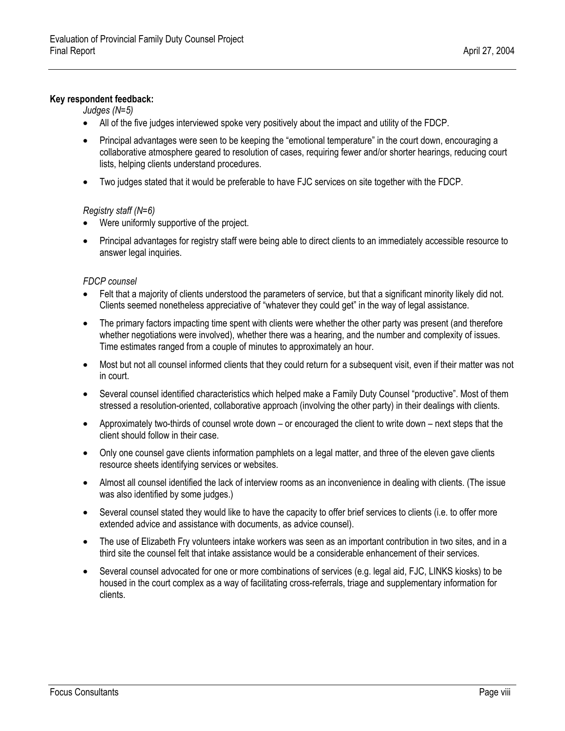#### **Key respondent feedback:**

*Judges (N=5)* 

- All of the five judges interviewed spoke very positively about the impact and utility of the FDCP.
- Principal advantages were seen to be keeping the "emotional temperature" in the court down, encouraging a collaborative atmosphere geared to resolution of cases, requiring fewer and/or shorter hearings, reducing court lists, helping clients understand procedures.
- Two judges stated that it would be preferable to have FJC services on site together with the FDCP.

#### *Registry staff (N=6)*

- Were uniformly supportive of the project.
- Principal advantages for registry staff were being able to direct clients to an immediately accessible resource to answer legal inquiries.

#### *FDCP counsel*

- Felt that a majority of clients understood the parameters of service, but that a significant minority likely did not. Clients seemed nonetheless appreciative of "whatever they could get" in the way of legal assistance.
- The primary factors impacting time spent with clients were whether the other party was present (and therefore whether negotiations were involved), whether there was a hearing, and the number and complexity of issues. Time estimates ranged from a couple of minutes to approximately an hour.
- Most but not all counsel informed clients that they could return for a subsequent visit, even if their matter was not in court.
- Several counsel identified characteristics which helped make a Family Duty Counsel "productive". Most of them stressed a resolution-oriented, collaborative approach (involving the other party) in their dealings with clients.
- Approximately two-thirds of counsel wrote down or encouraged the client to write down next steps that the client should follow in their case.
- Only one counsel gave clients information pamphlets on a legal matter, and three of the eleven gave clients resource sheets identifying services or websites.
- Almost all counsel identified the lack of interview rooms as an inconvenience in dealing with clients. (The issue was also identified by some judges.)
- Several counsel stated they would like to have the capacity to offer brief services to clients (i.e. to offer more extended advice and assistance with documents, as advice counsel).
- The use of Elizabeth Fry volunteers intake workers was seen as an important contribution in two sites, and in a third site the counsel felt that intake assistance would be a considerable enhancement of their services.
- Several counsel advocated for one or more combinations of services (e.g. legal aid, FJC, LINKS kiosks) to be housed in the court complex as a way of facilitating cross-referrals, triage and supplementary information for clients.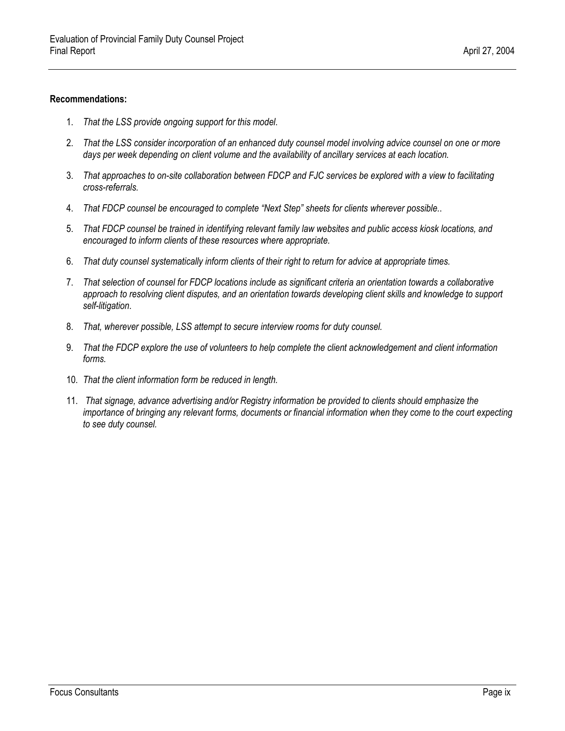#### **Recommendations:**

- 1. *That the LSS provide ongoing support for this model*.
- 2. *That the LSS consider incorporation of an enhanced duty counsel model involving advice counsel on one or more days per week depending on client volume and the availability of ancillary services at each location.*
- 3. *That approaches to on-site collaboration between FDCP and FJC services be explored with a view to facilitating cross-referrals.*
- 4. *That FDCP counsel be encouraged to complete "Next Step" sheets for clients wherever possible.*.
- 5. *That FDCP counsel be trained in identifying relevant family law websites and public access kiosk locations, and encouraged to inform clients of these resources where appropriate.*
- 6. *That duty counsel systematically inform clients of their right to return for advice at appropriate times.*
- 7. *That selection of counsel for FDCP locations include as significant criteria an orientation towards a collaborative*  approach to resolving client disputes, and an orientation towards developing client skills and knowledge to support *self-litigation*.
- 8. *That, wherever possible, LSS attempt to secure interview rooms for duty counsel.*
- 9. *That the FDCP explore the use of volunteers to help complete the client acknowledgement and client information forms.*
- 10. *That the client information form be reduced in length.*
- 11. *That signage, advance advertising and/or Registry information be provided to clients should emphasize the importance of bringing any relevant forms, documents or financial information when they come to the court expecting to see duty counsel.*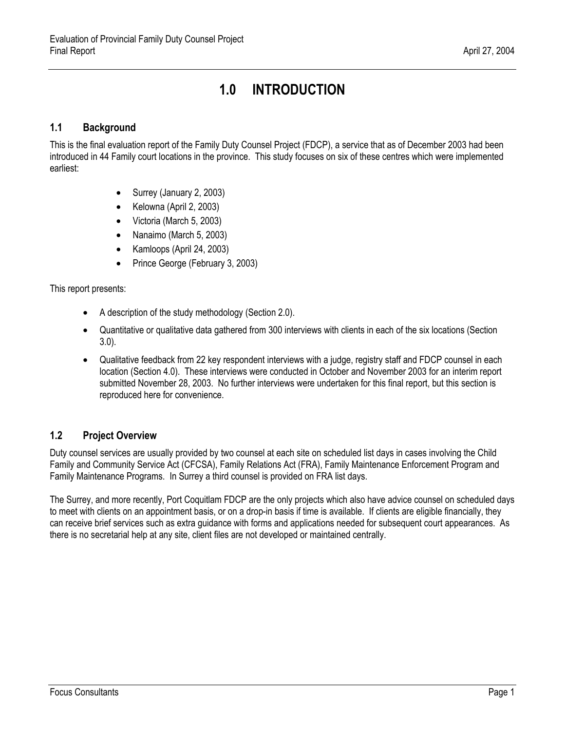# **1.0 INTRODUCTION**

## <span id="page-9-1"></span><span id="page-9-0"></span>**1.1 Background**

This is the final evaluation report of the Family Duty Counsel Project (FDCP), a service that as of December 2003 had been introduced in 44 Family court locations in the province. This study focuses on six of these centres which were implemented earliest:

- Surrey (January 2, 2003)
- Kelowna (April 2, 2003)
- Victoria (March 5, 2003)
- Nanaimo (March 5, 2003)
- Kamloops (April 24, 2003)
- Prince George (February 3, 2003)

This report presents:

- A description of the study methodology (Section 2.0).
- Quantitative or qualitative data gathered from 300 interviews with clients in each of the six locations (Section 3.0).
- Qualitative feedback from 22 key respondent interviews with a judge, registry staff and FDCP counsel in each location (Section 4.0). These interviews were conducted in October and November 2003 for an interim report submitted November 28, 2003. No further interviews were undertaken for this final report, but this section is reproduced here for convenience.

# <span id="page-9-2"></span>**1.2 Project Overview**

Duty counsel services are usually provided by two counsel at each site on scheduled list days in cases involving the Child Family and Community Service Act (CFCSA), Family Relations Act (FRA), Family Maintenance Enforcement Program and Family Maintenance Programs. In Surrey a third counsel is provided on FRA list days.

The Surrey, and more recently, Port Coquitlam FDCP are the only projects which also have advice counsel on scheduled days to meet with clients on an appointment basis, or on a drop-in basis if time is available. If clients are eligible financially, they can receive brief services such as extra guidance with forms and applications needed for subsequent court appearances. As there is no secretarial help at any site, client files are not developed or maintained centrally.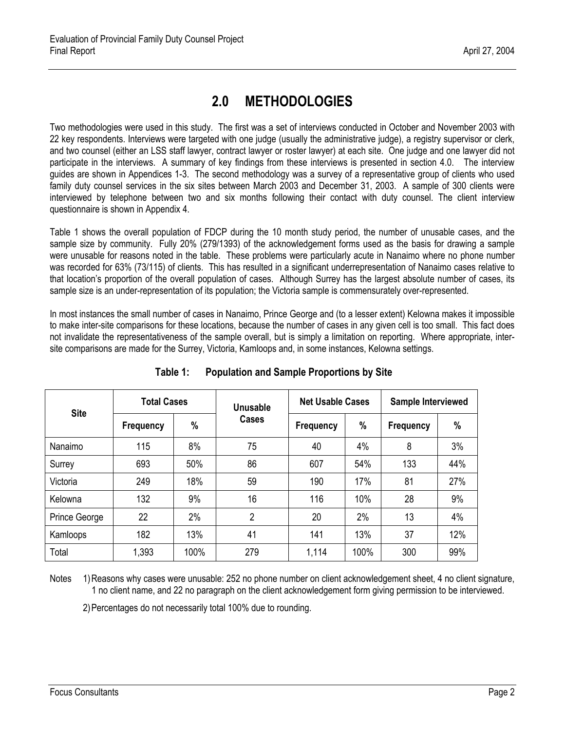# **2.0 METHODOLOGIES**

<span id="page-10-0"></span>Two methodologies were used in this study. The first was a set of interviews conducted in October and November 2003 with 22 key respondents. Interviews were targeted with one judge (usually the administrative judge), a registry supervisor or clerk, and two counsel (either an LSS staff lawyer, contract lawyer or roster lawyer) at each site. One judge and one lawyer did not participate in the interviews. A summary of key findings from these interviews is presented in section 4.0. The interview guides are shown in Appendices 1-3. The second methodology was a survey of a representative group of clients who used family duty counsel services in the six sites between March 2003 and December 31, 2003. A sample of 300 clients were interviewed by telephone between two and six months following their contact with duty counsel. The client interview questionnaire is shown in Appendix 4.

<span id="page-10-1"></span>Table 1 shows the overall population of FDCP during the 10 month study period, the number of unusable cases, and the sample size by community. Fully 20% (279/1393) of the acknowledgement forms used as the basis for drawing a sample were unusable for reasons noted in the table. These problems were particularly acute in Nanaimo where no phone number was recorded for 63% (73/115) of clients. This has resulted in a significant underrepresentation of Nanaimo cases relative to that location's proportion of the overall population of cases. Although Surrey has the largest absolute number of cases, its sample size is an under-representation of its population; the Victoria sample is commensurately over-represented.

In most instances the small number of cases in Nanaimo, Prince George and (to a lesser extent) Kelowna makes it impossible to make inter-site comparisons for these locations, because the number of cases in any given cell is too small. This fact does not invalidate the representativeness of the sample overall, but is simply a limitation on reporting. Where appropriate, intersite comparisons are made for the Surrey, Victoria, Kamloops and, in some instances, Kelowna settings.

| <b>Site</b>   | <b>Total Cases</b> |      | <b>Unusable</b> | <b>Net Usable Cases</b> |      | Sample Interviewed |      |
|---------------|--------------------|------|-----------------|-------------------------|------|--------------------|------|
|               | <b>Frequency</b>   | $\%$ | Cases           | Frequency               | %    | <b>Frequency</b>   | $\%$ |
| Nanaimo       | 115                | 8%   | 75              | 40                      | 4%   | 8                  | 3%   |
| Surrey        | 693                | 50%  | 86              | 607                     | 54%  | 133                | 44%  |
| Victoria      | 249                | 18%  | 59              | 190                     | 17%  | 81                 | 27%  |
| Kelowna       | 132                | 9%   | 16              | 116                     | 10%  | 28                 | 9%   |
| Prince George | 22                 | 2%   | 2               | 20                      | 2%   | 13                 | 4%   |
| Kamloops      | 182                | 13%  | 41              | 141                     | 13%  | 37                 | 12%  |
| Total         | 1,393              | 100% | 279             | 1,114                   | 100% | 300                | 99%  |

# **Table 1: Population and Sample Proportions by Site**

Notes 1) Reasons why cases were unusable: 252 no phone number on client acknowledgement sheet, 4 no client signature, 1 no client name, and 22 no paragraph on the client acknowledgement form giving permission to be interviewed.

2) Percentages do not necessarily total 100% due to rounding.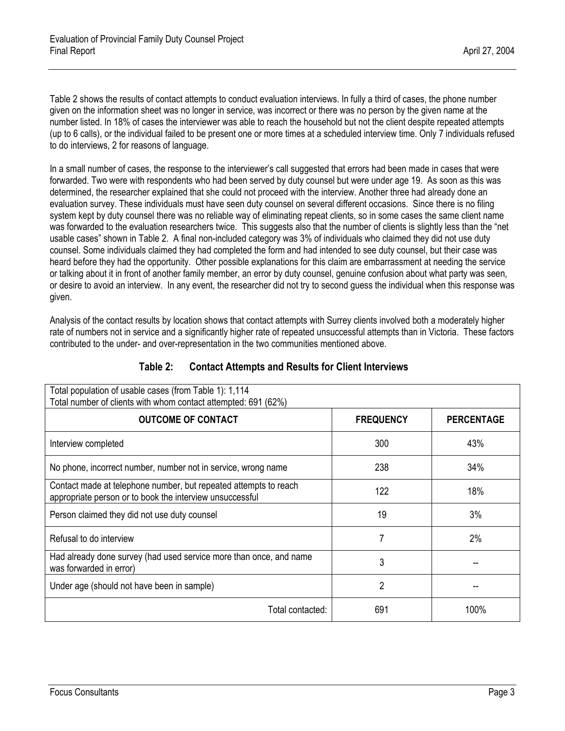Table 2 shows the results of contact attempts to conduct evaluation interviews. In fully a third of cases, the phone number given on the information sheet was no longer in service, was incorrect or there was no person by the given name at the number listed. In 18% of cases the interviewer was able to reach the household but not the client despite repeated attempts (up to 6 calls), or the individual failed to be present one or more times at a scheduled interview time. Only 7 individuals refused to do interviews, 2 for reasons of language.

In a small number of cases, the response to the interviewer's call suggested that errors had been made in cases that were forwarded. Two were with respondents who had been served by duty counsel but were under age 19. As soon as this was determined, the researcher explained that she could not proceed with the interview. Another three had already done an evaluation survey. These individuals must have seen duty counsel on several different occasions. Since there is no filing system kept by duty counsel there was no reliable way of eliminating repeat clients, so in some cases the same client name was forwarded to the evaluation researchers twice. This suggests also that the number of clients is slightly less than the "net usable cases" shown in Table 2. A final non-included category was 3% of individuals who claimed they did not use duty counsel. Some individuals claimed they had completed the form and had intended to see duty counsel, but their case was heard before they had the opportunity. Other possible explanations for this claim are embarrassment at needing the service or talking about it in front of another family member, an error by duty counsel, genuine confusion about what party was seen, or desire to avoid an interview. In any event, the researcher did not try to second guess the individual when this response was given.

Analysis of the contact results by location shows that contact attempts with Surrey clients involved both a moderately higher rate of numbers not in service and a significantly higher rate of repeated unsuccessful attempts than in Victoria. These factors contributed to the under- and over-representation in the two communities mentioned above.

<span id="page-11-0"></span>

| Total population of usable cases (from Table 1): 1,114<br>Total number of clients with whom contact attempted: 691 (62%)     |                  |                   |  |  |  |
|------------------------------------------------------------------------------------------------------------------------------|------------------|-------------------|--|--|--|
| <b>OUTCOME OF CONTACT</b>                                                                                                    | <b>FREQUENCY</b> | <b>PERCENTAGE</b> |  |  |  |
| Interview completed                                                                                                          | 300              | 43%               |  |  |  |
| No phone, incorrect number, number not in service, wrong name                                                                | 238              | 34%               |  |  |  |
| Contact made at telephone number, but repeated attempts to reach<br>appropriate person or to book the interview unsuccessful | 122              | 18%               |  |  |  |
| Person claimed they did not use duty counsel                                                                                 | 19               | 3%                |  |  |  |
| Refusal to do interview                                                                                                      |                  | 2%                |  |  |  |
| Had already done survey (had used service more than once, and name<br>was forwarded in error)                                | 3                |                   |  |  |  |
| Under age (should not have been in sample)                                                                                   | 2                |                   |  |  |  |
| Total contacted:                                                                                                             | 691              | 100%              |  |  |  |

## **Table 2: Contact Attempts and Results for Client Interviews**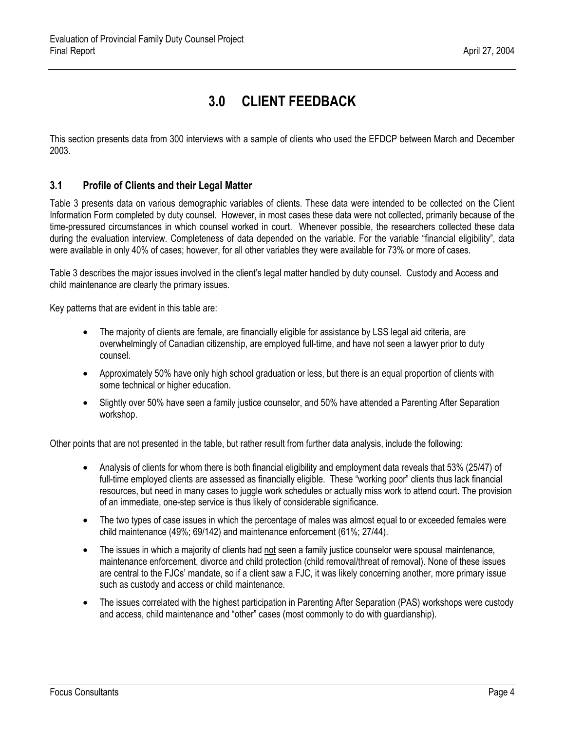# **3.0 CLIENT FEEDBACK**

<span id="page-12-0"></span>This section presents data from 300 interviews with a sample of clients who used the EFDCP between March and December 2003.

### <span id="page-12-1"></span>**3.1 Profile of Clients and their Legal Matter**

Table 3 presents data on various demographic variables of clients. These data were intended to be collected on the Client Information Form completed by duty counsel. However, in most cases these data were not collected, primarily because of the time-pressured circumstances in which counsel worked in court. Whenever possible, the researchers collected these data during the evaluation interview. Completeness of data depended on the variable. For the variable "financial eligibility", data were available in only 40% of cases; however, for all other variables they were available for 73% or more of cases.

Table 3 describes the major issues involved in the client's legal matter handled by duty counsel. Custody and Access and child maintenance are clearly the primary issues.

Key patterns that are evident in this table are:

- The majority of clients are female, are financially eligible for assistance by LSS legal aid criteria, are overwhelmingly of Canadian citizenship, are employed full-time, and have not seen a lawyer prior to duty counsel.
- Approximately 50% have only high school graduation or less, but there is an equal proportion of clients with some technical or higher education.
- Slightly over 50% have seen a family justice counselor, and 50% have attended a Parenting After Separation workshop.

Other points that are not presented in the table, but rather result from further data analysis, include the following:

- Analysis of clients for whom there is both financial eligibility and employment data reveals that 53% (25/47) of full-time employed clients are assessed as financially eligible. These "working poor" clients thus lack financial resources, but need in many cases to juggle work schedules or actually miss work to attend court. The provision of an immediate, one-step service is thus likely of considerable significance.
- The two types of case issues in which the percentage of males was almost equal to or exceeded females were child maintenance (49%; 69/142) and maintenance enforcement (61%; 27/44).
- The issues in which a majority of clients had not seen a family justice counselor were spousal maintenance, maintenance enforcement, divorce and child protection (child removal/threat of removal). None of these issues are central to the FJCs' mandate, so if a client saw a FJC, it was likely concerning another, more primary issue such as custody and access or child maintenance.
- The issues correlated with the highest participation in Parenting After Separation (PAS) workshops were custody and access, child maintenance and "other" cases (most commonly to do with guardianship).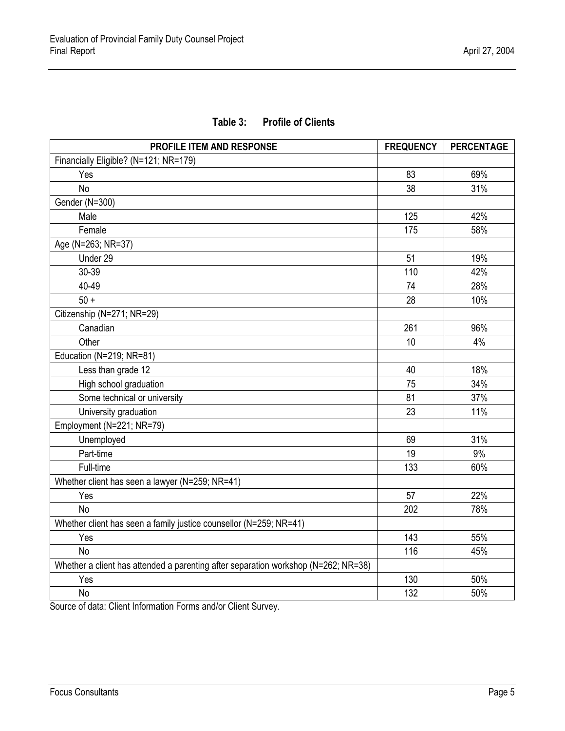# **Table 3: Profile of Clients**

<span id="page-13-0"></span>

| PROFILE ITEM AND RESPONSE                                                          | <b>FREQUENCY</b> | <b>PERCENTAGE</b> |
|------------------------------------------------------------------------------------|------------------|-------------------|
| Financially Eligible? (N=121; NR=179)                                              |                  |                   |
| Yes                                                                                | 83               | 69%               |
| <b>No</b>                                                                          | 38               | 31%               |
| Gender (N=300)                                                                     |                  |                   |
| Male                                                                               | 125              | 42%               |
| Female                                                                             | 175              | 58%               |
| Age (N=263; NR=37)                                                                 |                  |                   |
| Under 29                                                                           | 51               | 19%               |
| 30-39                                                                              | 110              | 42%               |
| 40-49                                                                              | 74               | 28%               |
| $50 +$                                                                             | 28               | 10%               |
| Citizenship (N=271; NR=29)                                                         |                  |                   |
| Canadian                                                                           | 261              | 96%               |
| Other                                                                              | 10               | 4%                |
| Education (N=219; NR=81)                                                           |                  |                   |
| Less than grade 12                                                                 | 40               | 18%               |
| High school graduation                                                             | 75               | 34%               |
| Some technical or university                                                       | 81               | 37%               |
| University graduation                                                              | 23               | 11%               |
| Employment (N=221; NR=79)                                                          |                  |                   |
| Unemployed                                                                         | 69               | 31%               |
| Part-time                                                                          | 19               | 9%                |
| Full-time                                                                          | 133              | 60%               |
| Whether client has seen a lawyer (N=259; NR=41)                                    |                  |                   |
| Yes                                                                                | 57               | 22%               |
| <b>No</b>                                                                          | 202              | 78%               |
| Whether client has seen a family justice counsellor (N=259; NR=41)                 |                  |                   |
| Yes                                                                                | 143              | 55%               |
| <b>No</b>                                                                          | 116              | 45%               |
| Whether a client has attended a parenting after separation workshop (N=262; NR=38) |                  |                   |
| Yes                                                                                | 130              | 50%               |
| <b>No</b>                                                                          | 132              | 50%               |

Source of data: Client Information Forms and/or Client Survey.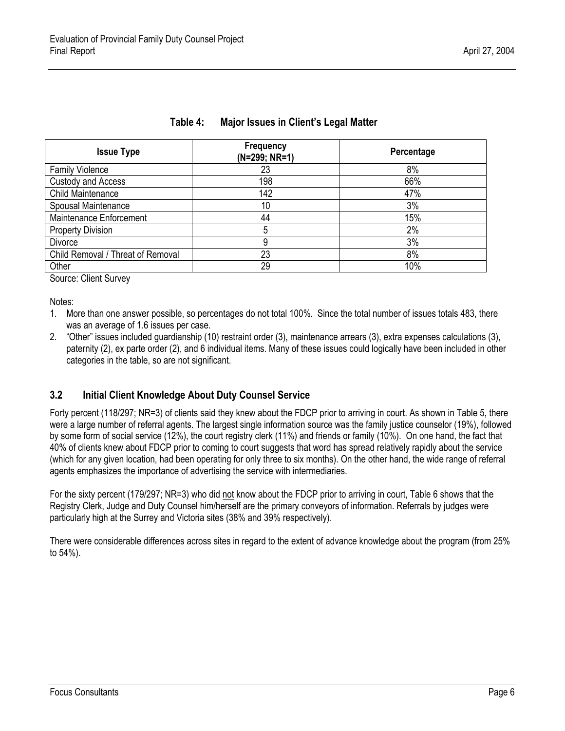<span id="page-14-1"></span>

| (N=299; NR=1) | Percentage       |
|---------------|------------------|
| 23            | 8%               |
| 198           | 66%              |
| 142           | 47%              |
| 10            | 3%               |
| 44            | 15%              |
| 5             | 2%               |
| 9             | 3%               |
| 23            | 8%               |
| 29            | 10%              |
|               | <b>Frequency</b> |

#### **Table 4: Major Issues in Client's Legal Matter**

Source: Client Survey

Notes:

- 1. More than one answer possible, so percentages do not total 100%. Since the total number of issues totals 483, there was an average of 1.6 issues per case.
- 2. "Other" issues included guardianship (10) restraint order (3), maintenance arrears (3), extra expenses calculations (3), paternity (2), ex parte order (2), and 6 individual items. Many of these issues could logically have been included in other categories in the table, so are not significant.

### <span id="page-14-0"></span>**3.2 Initial Client Knowledge About Duty Counsel Service**

Forty percent (118/297; NR=3) of clients said they knew about the FDCP prior to arriving in court. As shown in Table 5, there were a large number of referral agents. The largest single information source was the family justice counselor (19%), followed by some form of social service (12%), the court registry clerk (11%) and friends or family (10%). On one hand, the fact that 40% of clients knew about FDCP prior to coming to court suggests that word has spread relatively rapidly about the service (which for any given location, had been operating for only three to six months). On the other hand, the wide range of referral agents emphasizes the importance of advertising the service with intermediaries.

For the sixty percent (179/297; NR=3) who did not know about the FDCP prior to arriving in court, Table 6 shows that the Registry Clerk, Judge and Duty Counsel him/herself are the primary conveyors of information. Referrals by judges were particularly high at the Surrey and Victoria sites (38% and 39% respectively).

There were considerable differences across sites in regard to the extent of advance knowledge about the program (from 25% to 54%).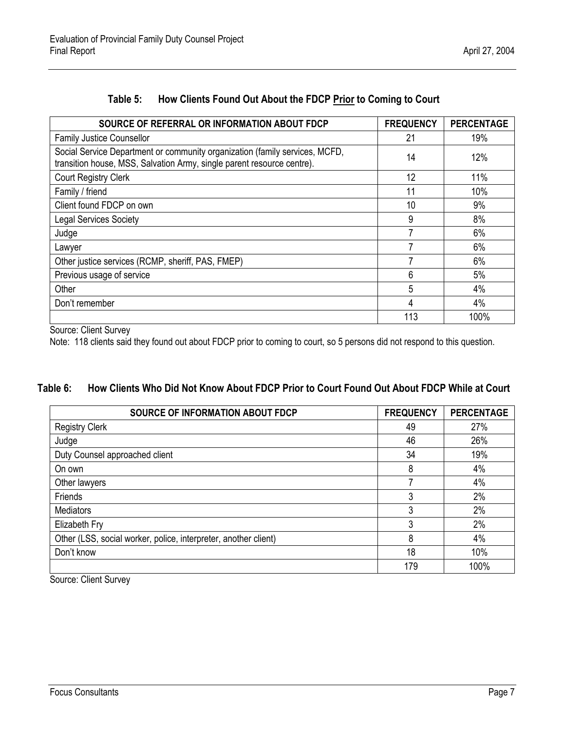<span id="page-15-0"></span>

| SOURCE OF REFERRAL OR INFORMATION ABOUT FDCP                                                                                                          | <b>FREQUENCY</b> | <b>PERCENTAGE</b> |
|-------------------------------------------------------------------------------------------------------------------------------------------------------|------------------|-------------------|
| <b>Family Justice Counsellor</b>                                                                                                                      | 21               | 19%               |
| Social Service Department or community organization (family services, MCFD,<br>transition house, MSS, Salvation Army, single parent resource centre). | 14               | 12%               |
| <b>Court Registry Clerk</b>                                                                                                                           | 12               | 11%               |
| Family / friend                                                                                                                                       | 11               | 10%               |
| Client found FDCP on own                                                                                                                              | 10               | 9%                |
| <b>Legal Services Society</b>                                                                                                                         | 9                | 8%                |
| Judge                                                                                                                                                 |                  | 6%                |
| Lawyer                                                                                                                                                |                  | 6%                |
| Other justice services (RCMP, sheriff, PAS, FMEP)                                                                                                     |                  | 6%                |
| Previous usage of service                                                                                                                             | 6                | 5%                |
| Other                                                                                                                                                 | 5                | 4%                |
| Don't remember                                                                                                                                        | 4                | 4%                |
|                                                                                                                                                       | 113              | 100%              |

# **Table 5: How Clients Found Out About the FDCP Prior to Coming to Court**

Source: Client Survey

Note: 118 clients said they found out about FDCP prior to coming to court, so 5 persons did not respond to this question.

## <span id="page-15-1"></span>**Table 6: How Clients Who Did Not Know About FDCP Prior to Court Found Out About FDCP While at Court**

| <b>SOURCE OF INFORMATION ABOUT FDCP</b>                         | <b>FREQUENCY</b> | <b>PERCENTAGE</b> |
|-----------------------------------------------------------------|------------------|-------------------|
| <b>Registry Clerk</b>                                           | 49               | 27%               |
| Judge                                                           | 46               | 26%               |
| Duty Counsel approached client                                  | 34               | 19%               |
| On own                                                          | 8                | 4%                |
| Other lawyers                                                   |                  | 4%                |
| Friends                                                         | 3                | 2%                |
| <b>Mediators</b>                                                | 3                | 2%                |
| Elizabeth Fry                                                   | 3                | 2%                |
| Other (LSS, social worker, police, interpreter, another client) | 8                | 4%                |
| Don't know                                                      | 18               | 10%               |
|                                                                 | 179              | 100%              |

Source: Client Survey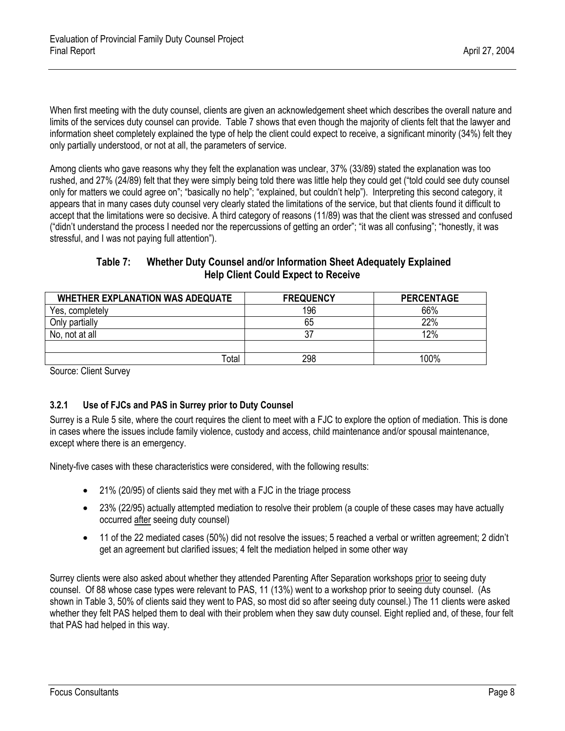When first meeting with the duty counsel, clients are given an acknowledgement sheet which describes the overall nature and limits of the services duty counsel can provide. Table 7 shows that even though the majority of clients felt that the lawyer and information sheet completely explained the type of help the client could expect to receive, a significant minority (34%) felt they only partially understood, or not at all, the parameters of service.

Among clients who gave reasons why they felt the explanation was unclear, 37% (33/89) stated the explanation was too rushed, and 27% (24/89) felt that they were simply being told there was little help they could get ("told could see duty counsel only for matters we could agree on"; "basically no help"; "explained, but couldn't help"). Interpreting this second category, it appears that in many cases duty counsel very clearly stated the limitations of the service, but that clients found it difficult to accept that the limitations were so decisive. A third category of reasons (11/89) was that the client was stressed and confused ("didn't understand the process I needed nor the repercussions of getting an order"; "it was all confusing"; "honestly, it was stressful, and I was not paying full attention").

## **Table 7: Whether Duty Counsel and/or Information Sheet Adequately Explained Help Client Could Expect to Receive**

<span id="page-16-1"></span>

| <b>WHETHER EXPLANATION WAS ADEQUATE</b> | <b>FREQUENCY</b> | <b>PERCENTAGE</b> |
|-----------------------------------------|------------------|-------------------|
| Yes, completely                         | 196              | 66%               |
| Only partially                          | 65               | 22%               |
| No, not at all                          | 37               | 12%               |
|                                         |                  |                   |
| otal                                    | 298              | 100%              |

<span id="page-16-0"></span>Source: Client Survey

### **3.2.1 Use of FJCs and PAS in Surrey prior to Duty Counsel**

Surrey is a Rule 5 site, where the court requires the client to meet with a FJC to explore the option of mediation. This is done in cases where the issues include family violence, custody and access, child maintenance and/or spousal maintenance, except where there is an emergency.

Ninety-five cases with these characteristics were considered, with the following results:

- 21% (20/95) of clients said they met with a FJC in the triage process
- 23% (22/95) actually attempted mediation to resolve their problem (a couple of these cases may have actually occurred after seeing duty counsel)
- 11 of the 22 mediated cases (50%) did not resolve the issues; 5 reached a verbal or written agreement; 2 didn't get an agreement but clarified issues; 4 felt the mediation helped in some other way

Surrey clients were also asked about whether they attended Parenting After Separation workshops prior to seeing duty counsel. Of 88 whose case types were relevant to PAS, 11 (13%) went to a workshop prior to seeing duty counsel. (As shown in Table 3, 50% of clients said they went to PAS, so most did so after seeing duty counsel.) The 11 clients were asked whether they felt PAS helped them to deal with their problem when they saw duty counsel. Eight replied and, of these, four felt that PAS had helped in this way.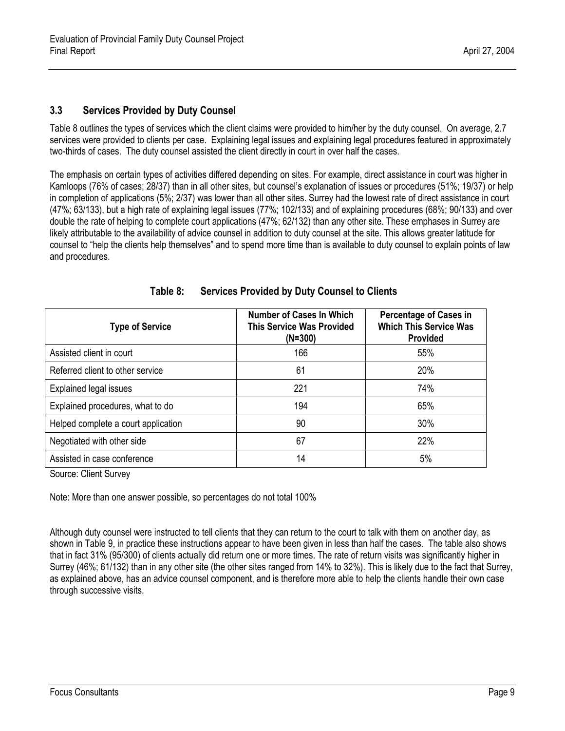### <span id="page-17-0"></span>**3.3 Services Provided by Duty Counsel**

Table 8 outlines the types of services which the client claims were provided to him/her by the duty counsel. On average, 2.7 services were provided to clients per case. Explaining legal issues and explaining legal procedures featured in approximately two-thirds of cases. The duty counsel assisted the client directly in court in over half the cases.

The emphasis on certain types of activities differed depending on sites. For example, direct assistance in court was higher in Kamloops (76% of cases; 28/37) than in all other sites, but counsel's explanation of issues or procedures (51%; 19/37) or help in completion of applications (5%; 2/37) was lower than all other sites. Surrey had the lowest rate of direct assistance in court (47%; 63/133), but a high rate of explaining legal issues (77%; 102/133) and of explaining procedures (68%; 90/133) and over double the rate of helping to complete court applications (47%; 62/132) than any other site. These emphases in Surrey are likely attributable to the availability of advice counsel in addition to duty counsel at the site. This allows greater latitude for counsel to "help the clients help themselves" and to spend more time than is available to duty counsel to explain points of law and procedures.

<span id="page-17-1"></span>

| <b>Type of Service</b>              | <b>Number of Cases In Which</b><br><b>This Service Was Provided</b><br>$(N=300)$ | <b>Percentage of Cases in</b><br><b>Which This Service Was</b><br><b>Provided</b> |
|-------------------------------------|----------------------------------------------------------------------------------|-----------------------------------------------------------------------------------|
| Assisted client in court            | 166                                                                              | 55%                                                                               |
| Referred client to other service    | 61                                                                               | 20%                                                                               |
| <b>Explained legal issues</b>       | 221                                                                              | 74%                                                                               |
| Explained procedures, what to do    | 194                                                                              | 65%                                                                               |
| Helped complete a court application | 90                                                                               | 30%                                                                               |
| Negotiated with other side          | 67                                                                               | 22%                                                                               |
| Assisted in case conference         | 14                                                                               | 5%                                                                                |

**Table 8: Services Provided by Duty Counsel to Clients** 

Source: Client Survey

Note: More than one answer possible, so percentages do not total 100%

Although duty counsel were instructed to tell clients that they can return to the court to talk with them on another day, as shown in Table 9, in practice these instructions appear to have been given in less than half the cases. The table also shows that in fact 31% (95/300) of clients actually did return one or more times. The rate of return visits was significantly higher in Surrey (46%; 61/132) than in any other site (the other sites ranged from 14% to 32%). This is likely due to the fact that Surrey, as explained above, has an advice counsel component, and is therefore more able to help the clients handle their own case through successive visits.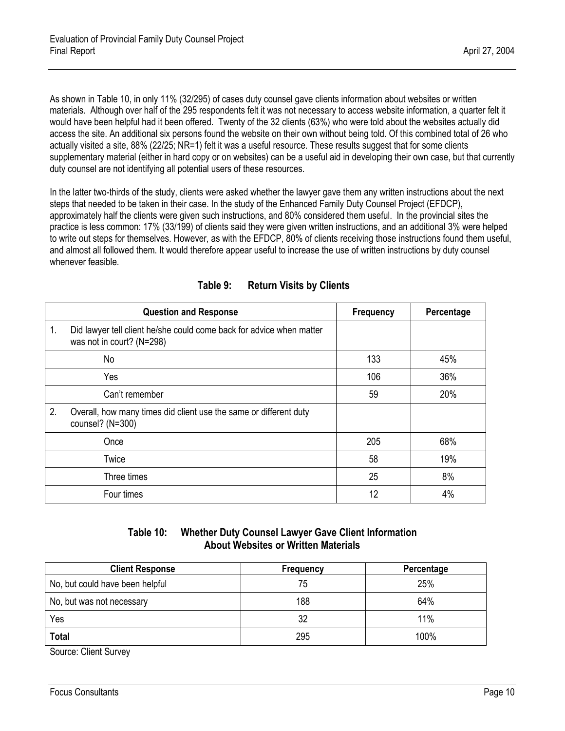As shown in Table 10, in only 11% (32/295) of cases duty counsel gave clients information about websites or written materials. Although over half of the 295 respondents felt it was not necessary to access website information, a quarter felt it would have been helpful had it been offered. Twenty of the 32 clients (63%) who were told about the websites actually did access the site. An additional six persons found the website on their own without being told. Of this combined total of 26 who actually visited a site, 88% (22/25; NR=1) felt it was a useful resource. These results suggest that for some clients supplementary material (either in hard copy or on websites) can be a useful aid in developing their own case, but that currently duty counsel are not identifying all potential users of these resources.

In the latter two-thirds of the study, clients were asked whether the lawyer gave them any written instructions about the next steps that needed to be taken in their case. In the study of the Enhanced Family Duty Counsel Project (EFDCP), approximately half the clients were given such instructions, and 80% considered them useful. In the provincial sites the practice is less common: 17% (33/199) of clients said they were given written instructions, and an additional 3% were helped to write out steps for themselves. However, as with the EFDCP, 80% of clients receiving those instructions found them useful, and almost all followed them. It would therefore appear useful to increase the use of written instructions by duty counsel whenever feasible.

<span id="page-18-1"></span><span id="page-18-0"></span>

|    | <b>Question and Response</b>                                                                      | <b>Frequency</b> | Percentage |
|----|---------------------------------------------------------------------------------------------------|------------------|------------|
| 1. | Did lawyer tell client he/she could come back for advice when matter<br>was not in court? (N=298) |                  |            |
|    | No                                                                                                | 133              | 45%        |
|    | Yes                                                                                               | 106              | 36%        |
|    | Can't remember                                                                                    | 59               | 20%        |
| 2. | Overall, how many times did client use the same or different duty<br>counsel? (N=300)             |                  |            |
|    | Once                                                                                              | 205              | 68%        |
|    | Twice                                                                                             | 58               | 19%        |
|    | Three times                                                                                       | 25               | 8%         |
|    | Four times                                                                                        | 12               | 4%         |

| Table 9: | <b>Return Visits by Clients</b> |
|----------|---------------------------------|
|----------|---------------------------------|

### **Table 10: Whether Duty Counsel Lawyer Gave Client Information About Websites or Written Materials**

| <b>Client Response</b>          | Frequency | Percentage |
|---------------------------------|-----------|------------|
| No, but could have been helpful | 75        | 25%        |
| No, but was not necessary       | 188       | 64%        |
| Yes                             | 32        | 11%        |
| <b>Total</b>                    | 295       | 100%       |

Source: Client Survey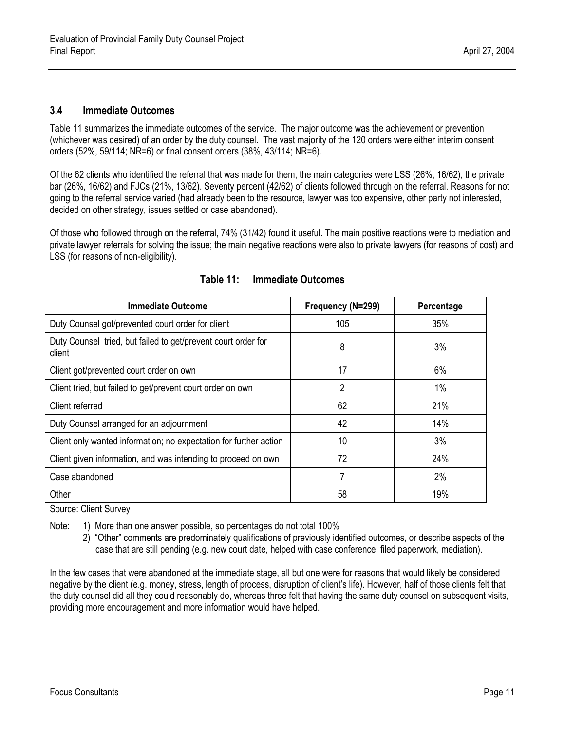#### <span id="page-19-0"></span>**3.4 Immediate Outcomes**

Table 11 summarizes the immediate outcomes of the service. The major outcome was the achievement or prevention (whichever was desired) of an order by the duty counsel. The vast majority of the 120 orders were either interim consent orders (52%, 59/114; NR=6) or final consent orders (38%, 43/114; NR=6).

Of the 62 clients who identified the referral that was made for them, the main categories were LSS (26%, 16/62), the private bar (26%, 16/62) and FJCs (21%, 13/62). Seventy percent (42/62) of clients followed through on the referral. Reasons for not going to the referral service varied (had already been to the resource, lawyer was too expensive, other party not interested, decided on other strategy, issues settled or case abandoned).

Of those who followed through on the referral, 74% (31/42) found it useful. The main positive reactions were to mediation and private lawyer referrals for solving the issue; the main negative reactions were also to private lawyers (for reasons of cost) and LSS (for reasons of non-eligibility).

<span id="page-19-1"></span>

| <b>Immediate Outcome</b>                                                | Frequency (N=299) | Percentage |
|-------------------------------------------------------------------------|-------------------|------------|
| Duty Counsel got/prevented court order for client                       | 105               | 35%        |
| Duty Counsel tried, but failed to get/prevent court order for<br>client | 8                 | 3%         |
| Client got/prevented court order on own                                 | 17                | 6%         |
| Client tried, but failed to get/prevent court order on own              | $\overline{2}$    | 1%         |
| Client referred                                                         | 62                | 21%        |
| Duty Counsel arranged for an adjournment                                | 42                | 14%        |
| Client only wanted information; no expectation for further action       | 10                | 3%         |
| Client given information, and was intending to proceed on own           | 72                | 24%        |
| Case abandoned                                                          | 7                 | 2%         |
| Other                                                                   | 58                | 19%        |

### **Table 11: Immediate Outcomes**

Source: Client Survey

Note: 1) More than one answer possible, so percentages do not total 100%

 2) "Other" comments are predominately qualifications of previously identified outcomes, or describe aspects of the case that are still pending (e.g. new court date, helped with case conference, filed paperwork, mediation).

In the few cases that were abandoned at the immediate stage, all but one were for reasons that would likely be considered negative by the client (e.g. money, stress, length of process, disruption of client's life). However, half of those clients felt that the duty counsel did all they could reasonably do, whereas three felt that having the same duty counsel on subsequent visits, providing more encouragement and more information would have helped.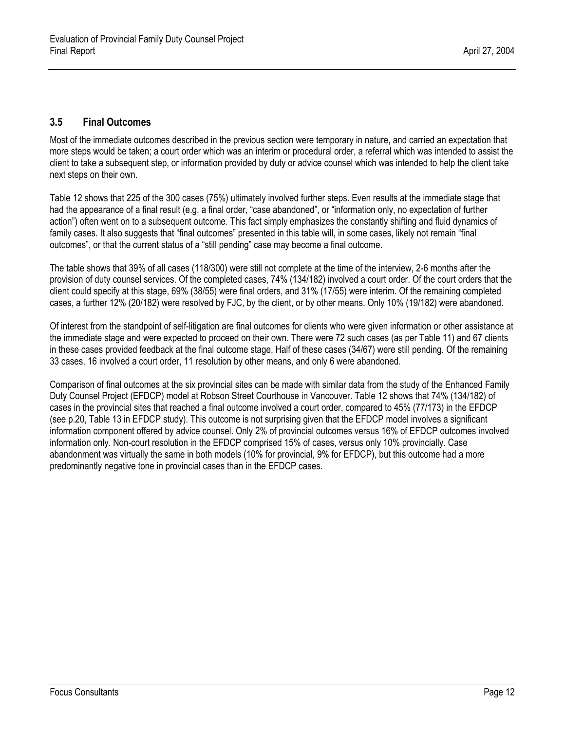## <span id="page-20-0"></span>**3.5 Final Outcomes**

Most of the immediate outcomes described in the previous section were temporary in nature, and carried an expectation that more steps would be taken; a court order which was an interim or procedural order, a referral which was intended to assist the client to take a subsequent step, or information provided by duty or advice counsel which was intended to help the client take next steps on their own.

Table 12 shows that 225 of the 300 cases (75%) ultimately involved further steps. Even results at the immediate stage that had the appearance of a final result (e.g. a final order, "case abandoned", or "information only, no expectation of further action") often went on to a subsequent outcome. This fact simply emphasizes the constantly shifting and fluid dynamics of family cases. It also suggests that "final outcomes" presented in this table will, in some cases, likely not remain "final outcomes", or that the current status of a "still pending" case may become a final outcome.

The table shows that 39% of all cases (118/300) were still not complete at the time of the interview, 2-6 months after the provision of duty counsel services. Of the completed cases, 74% (134/182) involved a court order. Of the court orders that the client could specify at this stage, 69% (38/55) were final orders, and 31% (17/55) were interim. Of the remaining completed cases, a further 12% (20/182) were resolved by FJC, by the client, or by other means. Only 10% (19/182) were abandoned.

Of interest from the standpoint of self-litigation are final outcomes for clients who were given information or other assistance at the immediate stage and were expected to proceed on their own. There were 72 such cases (as per Table 11) and 67 clients in these cases provided feedback at the final outcome stage. Half of these cases (34/67) were still pending. Of the remaining 33 cases, 16 involved a court order, 11 resolution by other means, and only 6 were abandoned.

Comparison of final outcomes at the six provincial sites can be made with similar data from the study of the Enhanced Family Duty Counsel Project (EFDCP) model at Robson Street Courthouse in Vancouver. Table 12 shows that 74% (134/182) of cases in the provincial sites that reached a final outcome involved a court order, compared to 45% (77/173) in the EFDCP (see p.20, Table 13 in EFDCP study). This outcome is not surprising given that the EFDCP model involves a significant information component offered by advice counsel. Only 2% of provincial outcomes versus 16% of EFDCP outcomes involved information only. Non-court resolution in the EFDCP comprised 15% of cases, versus only 10% provincially. Case abandonment was virtually the same in both models (10% for provincial, 9% for EFDCP), but this outcome had a more predominantly negative tone in provincial cases than in the EFDCP cases.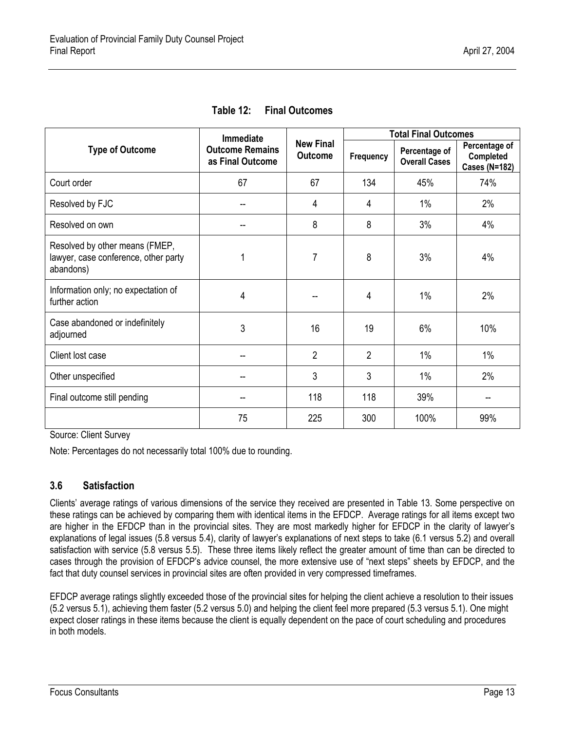<span id="page-21-1"></span>

|                                                                                     | <b>Immediate</b>                           |                                    |                | <b>Total Final Outcomes</b>           |                                                    |
|-------------------------------------------------------------------------------------|--------------------------------------------|------------------------------------|----------------|---------------------------------------|----------------------------------------------------|
| <b>Type of Outcome</b>                                                              | <b>Outcome Remains</b><br>as Final Outcome | <b>New Final</b><br><b>Outcome</b> | Frequency      | Percentage of<br><b>Overall Cases</b> | Percentage of<br>Completed<br><b>Cases (N=182)</b> |
| Court order                                                                         | 67                                         | 67                                 | 134            | 45%                                   | 74%                                                |
| Resolved by FJC                                                                     |                                            | 4                                  | 4              | 1%                                    | 2%                                                 |
| Resolved on own                                                                     |                                            | 8                                  | 8              | 3%                                    | 4%                                                 |
| Resolved by other means (FMEP,<br>lawyer, case conference, other party<br>abandons) |                                            | 7                                  | 8              | 3%                                    | 4%                                                 |
| Information only; no expectation of<br>further action                               | 4                                          |                                    | 4              | 1%                                    | 2%                                                 |
| Case abandoned or indefinitely<br>adjourned                                         | 3                                          | 16                                 | 19             | 6%                                    | 10%                                                |
| Client lost case                                                                    | --                                         | $\overline{2}$                     | $\overline{2}$ | 1%                                    | $1\%$                                              |
| Other unspecified                                                                   |                                            | 3                                  | 3              | 1%                                    | 2%                                                 |
| Final outcome still pending                                                         |                                            | 118                                | 118            | 39%                                   |                                                    |
|                                                                                     | 75                                         | 225                                | 300            | 100%                                  | 99%                                                |

**Table 12: Final Outcomes** 

<span id="page-21-0"></span>Source: Client Survey

Note: Percentages do not necessarily total 100% due to rounding.

### **3.6 Satisfaction**

Clients' average ratings of various dimensions of the service they received are presented in Table 13. Some perspective on these ratings can be achieved by comparing them with identical items in the EFDCP. Average ratings for all items except two are higher in the EFDCP than in the provincial sites. They are most markedly higher for EFDCP in the clarity of lawyer's explanations of legal issues (5.8 versus 5.4), clarity of lawyer's explanations of next steps to take (6.1 versus 5.2) and overall satisfaction with service (5.8 versus 5.5). These three items likely reflect the greater amount of time than can be directed to cases through the provision of EFDCP's advice counsel, the more extensive use of "next steps" sheets by EFDCP, and the fact that duty counsel services in provincial sites are often provided in very compressed timeframes.

EFDCP average ratings slightly exceeded those of the provincial sites for helping the client achieve a resolution to their issues (5.2 versus 5.1), achieving them faster (5.2 versus 5.0) and helping the client feel more prepared (5.3 versus 5.1). One might expect closer ratings in these items because the client is equally dependent on the pace of court scheduling and procedures in both models.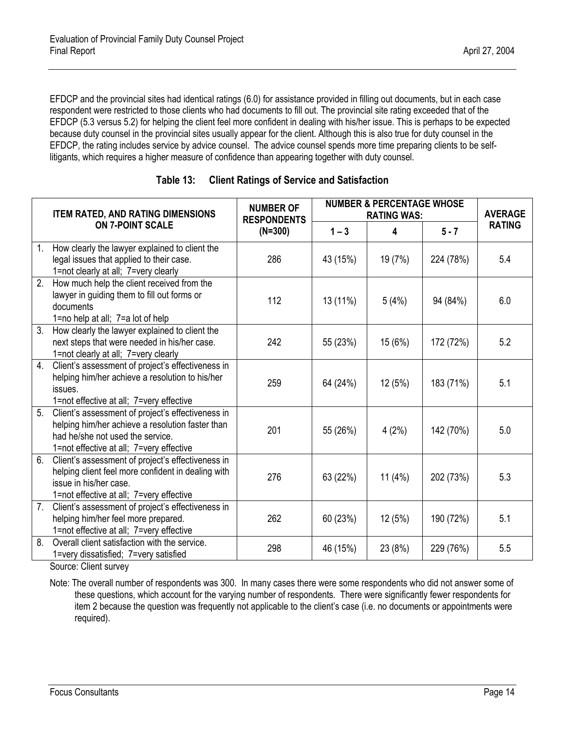EFDCP and the provincial sites had identical ratings (6.0) for assistance provided in filling out documents, but in each case respondent were restricted to those clients who had documents to fill out. The provincial site rating exceeded that of the EFDCP (5.3 versus 5.2) for helping the client feel more confident in dealing with his/her issue. This is perhaps to be expected because duty counsel in the provincial sites usually appear for the client. Although this is also true for duty counsel in the EFDCP, the rating includes service by advice counsel. The advice counsel spends more time preparing clients to be selflitigants, which requires a higher measure of confidence than appearing together with duty counsel.

<span id="page-22-0"></span>

|                  | <b>ITEM RATED, AND RATING DIMENSIONS</b>                                                                                                                                              | <b>NUMBER OF</b><br><b>RESPONDENTS</b> | <b>NUMBER &amp; PERCENTAGE WHOSE</b><br><b>RATING WAS:</b> |         |           | <b>AVERAGE</b> |
|------------------|---------------------------------------------------------------------------------------------------------------------------------------------------------------------------------------|----------------------------------------|------------------------------------------------------------|---------|-----------|----------------|
|                  | <b>ON 7-POINT SCALE</b>                                                                                                                                                               | $(N=300)$                              | $1 - 3$                                                    | 4       | $5 - 7$   | <b>RATING</b>  |
| $\mathbf{1}$ .   | How clearly the lawyer explained to client the<br>legal issues that applied to their case.<br>1=not clearly at all; 7=very clearly                                                    | 286                                    | 43 (15%)                                                   | 19 (7%) | 224 (78%) | 5.4            |
| $\overline{2}$ . | How much help the client received from the<br>lawyer in guiding them to fill out forms or<br>documents<br>1=no help at all; 7=a lot of help                                           | 112                                    | 13 (11%)                                                   | 5(4%)   | 94 (84%)  | 6.0            |
| $\overline{3}$ . | How clearly the lawyer explained to client the<br>next steps that were needed in his/her case.<br>1=not clearly at all; 7=very clearly                                                | 242                                    | 55 (23%)                                                   | 15(6%)  | 172 (72%) | 5.2            |
| 4.               | Client's assessment of project's effectiveness in<br>helping him/her achieve a resolution to his/her<br>issues.<br>1=not effective at all; 7=very effective                           | 259                                    | 64 (24%)                                                   | 12(5%)  | 183 (71%) | 5.1            |
| $\overline{5}$ . | Client's assessment of project's effectiveness in<br>helping him/her achieve a resolution faster than<br>had he/she not used the service.<br>1=not effective at all; 7=very effective | 201                                    | 55 (26%)                                                   | 4(2%)   | 142 (70%) | 5.0            |
| 6.               | Client's assessment of project's effectiveness in<br>helping client feel more confident in dealing with<br>issue in his/her case.<br>1=not effective at all; 7=very effective         | 276                                    | 63 (22%)                                                   | 11(4%)  | 202 (73%) | 5.3            |
| 7.               | Client's assessment of project's effectiveness in<br>helping him/her feel more prepared.<br>1=not effective at all; 7=very effective                                                  | 262                                    | 60 (23%)                                                   | 12(5%)  | 190 (72%) | 5.1            |
| 8.               | Overall client satisfaction with the service.<br>1=very dissatisfied; 7=very satisfied                                                                                                | 298                                    | 46 (15%)                                                   | 23 (8%) | 229 (76%) | 5.5            |

Source: Client survey

Note: The overall number of respondents was 300. In many cases there were some respondents who did not answer some of these questions, which account for the varying number of respondents. There were significantly fewer respondents for item 2 because the question was frequently not applicable to the client's case (i.e. no documents or appointments were required).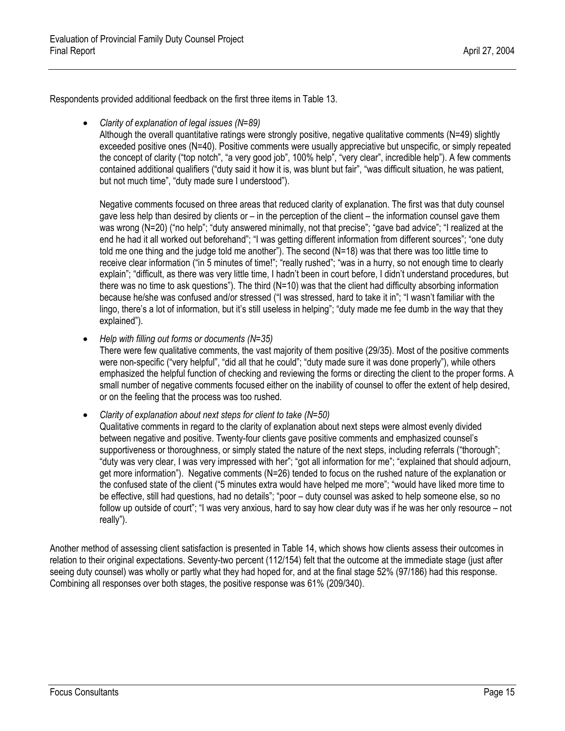Respondents provided additional feedback on the first three items in Table 13.

• *Clarity of explanation of legal issues (N=89)*

Although the overall quantitative ratings were strongly positive, negative qualitative comments (N=49) slightly exceeded positive ones (N=40). Positive comments were usually appreciative but unspecific, or simply repeated the concept of clarity ("top notch", "a very good job", 100% help", "very clear", incredible help"). A few comments contained additional qualifiers ("duty said it how it is, was blunt but fair", "was difficult situation, he was patient, but not much time", "duty made sure I understood").

Negative comments focused on three areas that reduced clarity of explanation. The first was that duty counsel gave less help than desired by clients or – in the perception of the client – the information counsel gave them was wrong (N=20) ("no help"; "duty answered minimally, not that precise"; "gave bad advice"; "I realized at the end he had it all worked out beforehand"; "I was getting different information from different sources"; "one duty told me one thing and the judge told me another"). The second (N=18) was that there was too little time to receive clear information ("in 5 minutes of time!"; "really rushed"; "was in a hurry, so not enough time to clearly explain"; "difficult, as there was very little time, I hadn't been in court before, I didn't understand procedures, but there was no time to ask questions"). The third (N=10) was that the client had difficulty absorbing information because he/she was confused and/or stressed ("I was stressed, hard to take it in"; "I wasn't familiar with the lingo, there's a lot of information, but it's still useless in helping"; "duty made me fee dumb in the way that they explained").

• *Help with filling out forms or documents (N=35)*

There were few qualitative comments, the vast majority of them positive (29/35). Most of the positive comments were non-specific ("very helpful", "did all that he could"; "duty made sure it was done properly"), while others emphasized the helpful function of checking and reviewing the forms or directing the client to the proper forms. A small number of negative comments focused either on the inability of counsel to offer the extent of help desired, or on the feeling that the process was too rushed.

- *Clarity of explanation about next steps for client to take (N=50)*
	- Qualitative comments in regard to the clarity of explanation about next steps were almost evenly divided between negative and positive. Twenty-four clients gave positive comments and emphasized counsel's supportiveness or thoroughness, or simply stated the nature of the next steps, including referrals ("thorough"; "duty was very clear, I was very impressed with her"; "got all information for me"; "explained that should adjourn, get more information"). Negative comments (N=26) tended to focus on the rushed nature of the explanation or the confused state of the client ("5 minutes extra would have helped me more"; "would have liked more time to be effective, still had questions, had no details"; "poor – duty counsel was asked to help someone else, so no follow up outside of court"; "I was very anxious, hard to say how clear duty was if he was her only resource – not really").

Another method of assessing client satisfaction is presented in Table 14, which shows how clients assess their outcomes in relation to their original expectations. Seventy-two percent (112/154) felt that the outcome at the immediate stage (just after seeing duty counsel) was wholly or partly what they had hoped for, and at the final stage 52% (97/186) had this response. Combining all responses over both stages, the positive response was 61% (209/340).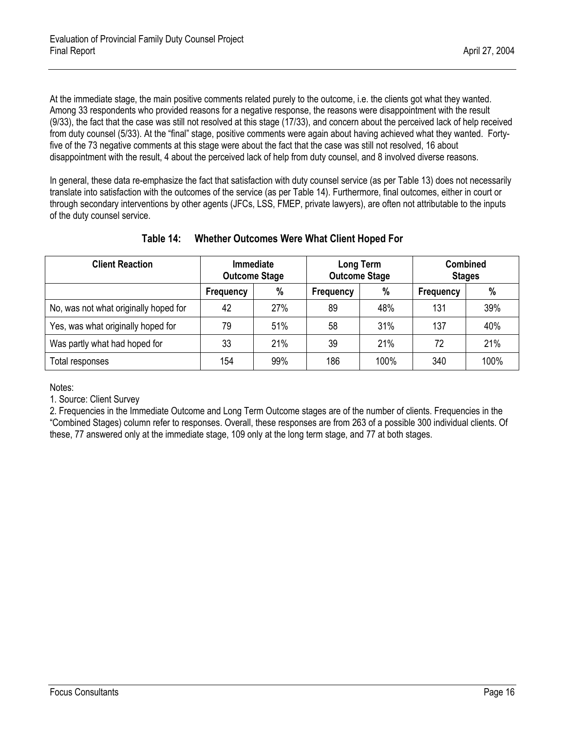At the immediate stage, the main positive comments related purely to the outcome, i.e. the clients got what they wanted. Among 33 respondents who provided reasons for a negative response, the reasons were disappointment with the result (9/33), the fact that the case was still not resolved at this stage (17/33), and concern about the perceived lack of help received from duty counsel (5/33). At the "final" stage, positive comments were again about having achieved what they wanted. Fortyfive of the 73 negative comments at this stage were about the fact that the case was still not resolved, 16 about disappointment with the result, 4 about the perceived lack of help from duty counsel, and 8 involved diverse reasons.

In general, these data re-emphasize the fact that satisfaction with duty counsel service (as per Table 13) does not necessarily translate into satisfaction with the outcomes of the service (as per Table 14). Furthermore, final outcomes, either in court or through secondary interventions by other agents (JFCs, LSS, FMEP, private lawyers), are often not attributable to the inputs of the duty counsel service.

<span id="page-24-0"></span>

| <b>Client Reaction</b>                | <b>Immediate</b><br><b>Outcome Stage</b> |      | Long Term<br><b>Outcome Stage</b> |      | <b>Combined</b><br><b>Stages</b> |      |
|---------------------------------------|------------------------------------------|------|-----------------------------------|------|----------------------------------|------|
|                                       | Frequency                                | $\%$ | Frequency                         | %    | Frequency                        | $\%$ |
| No, was not what originally hoped for | 42                                       | 27%  | 89                                | 48%  | 131                              | 39%  |
| Yes, was what originally hoped for    | 79                                       | 51%  | 58                                | 31%  | 137                              | 40%  |
| Was partly what had hoped for         | 33                                       | 21%  | 39                                | 21%  | 72                               | 21%  |
| Total responses                       | 154                                      | 99%  | 186                               | 100% | 340                              | 100% |

# **Table 14: Whether Outcomes Were What Client Hoped For**

Notes:

1. Source: Client Survey

2. Frequencies in the Immediate Outcome and Long Term Outcome stages are of the number of clients. Frequencies in the "Combined Stages) column refer to responses. Overall, these responses are from 263 of a possible 300 individual clients. Of these, 77 answered only at the immediate stage, 109 only at the long term stage, and 77 at both stages.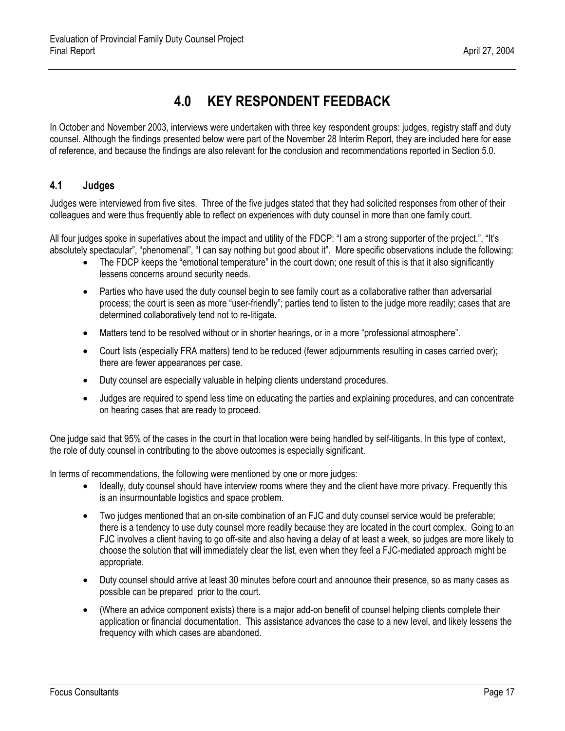# **4.0 KEY RESPONDENT FEEDBACK**

<span id="page-25-0"></span>In October and November 2003, interviews were undertaken with three key respondent groups: judges, registry staff and duty counsel. Although the findings presented below were part of the November 28 Interim Report, they are included here for ease of reference, and because the findings are also relevant for the conclusion and recommendations reported in Section 5.0.

### <span id="page-25-1"></span>**4.1 Judges**

Judges were interviewed from five sites. Three of the five judges stated that they had solicited responses from other of their colleagues and were thus frequently able to reflect on experiences with duty counsel in more than one family court.

All four judges spoke in superlatives about the impact and utility of the FDCP: "I am a strong supporter of the project.", "It's absolutely spectacular", "phenomenal", "I can say nothing but good about it". More specific observations include the following:

- The FDCP keeps the "emotional temperature" in the court down; one result of this is that it also significantly lessens concerns around security needs.
- Parties who have used the duty counsel begin to see family court as a collaborative rather than adversarial process; the court is seen as more "user-friendly"; parties tend to listen to the judge more readily; cases that are determined collaboratively tend not to re-litigate.
- Matters tend to be resolved without or in shorter hearings, or in a more "professional atmosphere".
- Court lists (especially FRA matters) tend to be reduced (fewer adjournments resulting in cases carried over); there are fewer appearances per case.
- Duty counsel are especially valuable in helping clients understand procedures.
- Judges are required to spend less time on educating the parties and explaining procedures, and can concentrate on hearing cases that are ready to proceed.

One judge said that 95% of the cases in the court in that location were being handled by self-litigants. In this type of context, the role of duty counsel in contributing to the above outcomes is especially significant.

In terms of recommendations, the following were mentioned by one or more judges:

- Ideally, duty counsel should have interview rooms where they and the client have more privacy. Frequently this is an insurmountable logistics and space problem.
- Two judges mentioned that an on-site combination of an FJC and duty counsel service would be preferable; there is a tendency to use duty counsel more readily because they are located in the court complex. Going to an FJC involves a client having to go off-site and also having a delay of at least a week, so judges are more likely to choose the solution that will immediately clear the list, even when they feel a FJC-mediated approach might be appropriate.
- Duty counsel should arrive at least 30 minutes before court and announce their presence, so as many cases as possible can be prepared prior to the court.
- (Where an advice component exists) there is a major add-on benefit of counsel helping clients complete their application or financial documentation. This assistance advances the case to a new level, and likely lessens the frequency with which cases are abandoned.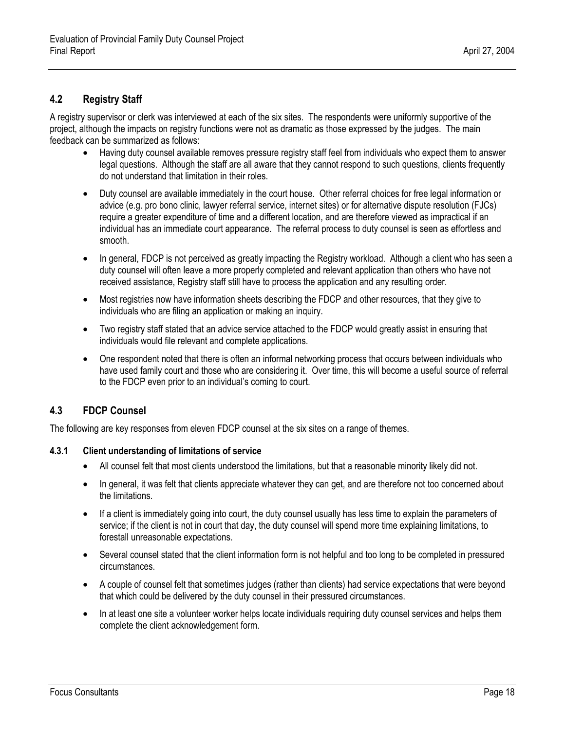### <span id="page-26-0"></span>**4.2 Registry Staff**

A registry supervisor or clerk was interviewed at each of the six sites. The respondents were uniformly supportive of the project, although the impacts on registry functions were not as dramatic as those expressed by the judges. The main feedback can be summarized as follows:

- Having duty counsel available removes pressure registry staff feel from individuals who expect them to answer legal questions. Although the staff are all aware that they cannot respond to such questions, clients frequently do not understand that limitation in their roles.
- Duty counsel are available immediately in the court house. Other referral choices for free legal information or advice (e.g. pro bono clinic, lawyer referral service, internet sites) or for alternative dispute resolution (FJCs) require a greater expenditure of time and a different location, and are therefore viewed as impractical if an individual has an immediate court appearance. The referral process to duty counsel is seen as effortless and smooth.
- In general, FDCP is not perceived as greatly impacting the Registry workload. Although a client who has seen a duty counsel will often leave a more properly completed and relevant application than others who have not received assistance, Registry staff still have to process the application and any resulting order.
- Most registries now have information sheets describing the FDCP and other resources, that they give to individuals who are filing an application or making an inquiry.
- Two registry staff stated that an advice service attached to the FDCP would greatly assist in ensuring that individuals would file relevant and complete applications.
- One respondent noted that there is often an informal networking process that occurs between individuals who have used family court and those who are considering it. Over time, this will become a useful source of referral to the FDCP even prior to an individual's coming to court.

#### <span id="page-26-1"></span>**4.3 FDCP Counsel**

<span id="page-26-2"></span>The following are key responses from eleven FDCP counsel at the six sites on a range of themes.

#### **4.3.1 Client understanding of limitations of service**

- All counsel felt that most clients understood the limitations, but that a reasonable minority likely did not.
- In general, it was felt that clients appreciate whatever they can get, and are therefore not too concerned about the limitations.
- If a client is immediately going into court, the duty counsel usually has less time to explain the parameters of service; if the client is not in court that day, the duty counsel will spend more time explaining limitations, to forestall unreasonable expectations.
- Several counsel stated that the client information form is not helpful and too long to be completed in pressured circumstances.
- A couple of counsel felt that sometimes judges (rather than clients) had service expectations that were beyond that which could be delivered by the duty counsel in their pressured circumstances.
- In at least one site a volunteer worker helps locate individuals requiring duty counsel services and helps them complete the client acknowledgement form.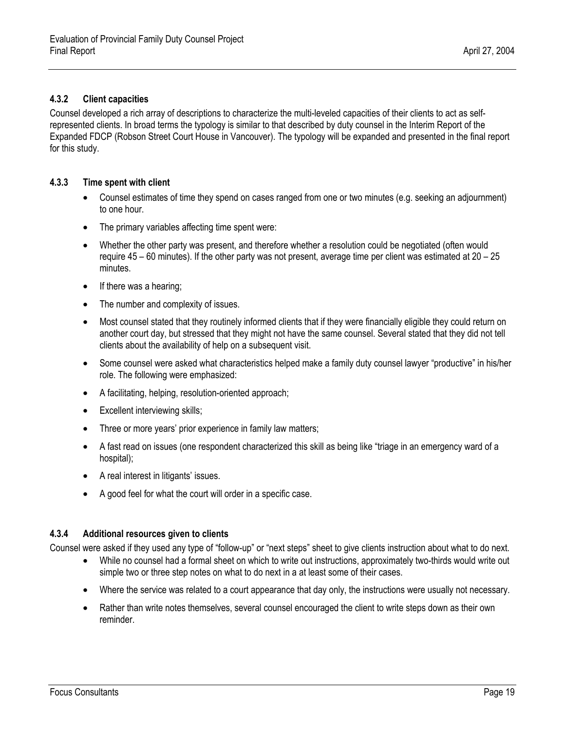#### <span id="page-27-0"></span>**4.3.2 Client capacities**

Counsel developed a rich array of descriptions to characterize the multi-leveled capacities of their clients to act as selfrepresented clients. In broad terms the typology is similar to that described by duty counsel in the Interim Report of the Expanded FDCP (Robson Street Court House in Vancouver). The typology will be expanded and presented in the final report for this study.

#### <span id="page-27-1"></span>**4.3.3 Time spent with client**

- Counsel estimates of time they spend on cases ranged from one or two minutes (e.g. seeking an adjournment) to one hour.
- The primary variables affecting time spent were:
- Whether the other party was present, and therefore whether a resolution could be negotiated (often would require 45 – 60 minutes). If the other party was not present, average time per client was estimated at 20 – 25 minutes.
- If there was a hearing;
- The number and complexity of issues.
- Most counsel stated that they routinely informed clients that if they were financially eligible they could return on another court day, but stressed that they might not have the same counsel. Several stated that they did not tell clients about the availability of help on a subsequent visit.
- Some counsel were asked what characteristics helped make a family duty counsel lawyer "productive" in his/her role. The following were emphasized:
- A facilitating, helping, resolution-oriented approach;
- Excellent interviewing skills;
- Three or more years' prior experience in family law matters;
- A fast read on issues (one respondent characterized this skill as being like "triage in an emergency ward of a hospital);
- A real interest in litigants' issues.
- A good feel for what the court will order in a specific case.

#### <span id="page-27-2"></span>**4.3.4 Additional resources given to clients**

Counsel were asked if they used any type of "follow-up" or "next steps" sheet to give clients instruction about what to do next.

- While no counsel had a formal sheet on which to write out instructions, approximately two-thirds would write out simple two or three step notes on what to do next in a at least some of their cases.
- Where the service was related to a court appearance that day only, the instructions were usually not necessary.
- Rather than write notes themselves, several counsel encouraged the client to write steps down as their own reminder.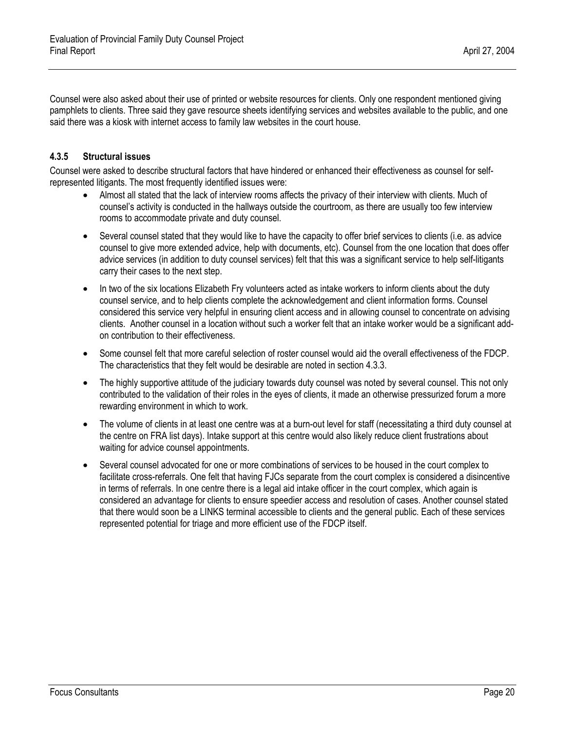### <span id="page-28-0"></span>**4.3.5 Structural issues**

Counsel were asked to describe structural factors that have hindered or enhanced their effectiveness as counsel for selfrepresented litigants. The most frequently identified issues were:

- Almost all stated that the lack of interview rooms affects the privacy of their interview with clients. Much of counsel's activity is conducted in the hallways outside the courtroom, as there are usually too few interview rooms to accommodate private and duty counsel.
- Several counsel stated that they would like to have the capacity to offer brief services to clients (i.e. as advice counsel to give more extended advice, help with documents, etc). Counsel from the one location that does offer advice services (in addition to duty counsel services) felt that this was a significant service to help self-litigants carry their cases to the next step.
- In two of the six locations Elizabeth Fry volunteers acted as intake workers to inform clients about the duty counsel service, and to help clients complete the acknowledgement and client information forms. Counsel considered this service very helpful in ensuring client access and in allowing counsel to concentrate on advising clients. Another counsel in a location without such a worker felt that an intake worker would be a significant addon contribution to their effectiveness.
- Some counsel felt that more careful selection of roster counsel would aid the overall effectiveness of the FDCP. The characteristics that they felt would be desirable are noted in section 4.3.3.
- The highly supportive attitude of the judiciary towards duty counsel was noted by several counsel. This not only contributed to the validation of their roles in the eyes of clients, it made an otherwise pressurized forum a more rewarding environment in which to work.
- The volume of clients in at least one centre was at a burn-out level for staff (necessitating a third duty counsel at the centre on FRA list days). Intake support at this centre would also likely reduce client frustrations about waiting for advice counsel appointments.
- Several counsel advocated for one or more combinations of services to be housed in the court complex to facilitate cross-referrals. One felt that having FJCs separate from the court complex is considered a disincentive in terms of referrals. In one centre there is a legal aid intake officer in the court complex, which again is considered an advantage for clients to ensure speedier access and resolution of cases. Another counsel stated that there would soon be a LINKS terminal accessible to clients and the general public. Each of these services represented potential for triage and more efficient use of the FDCP itself.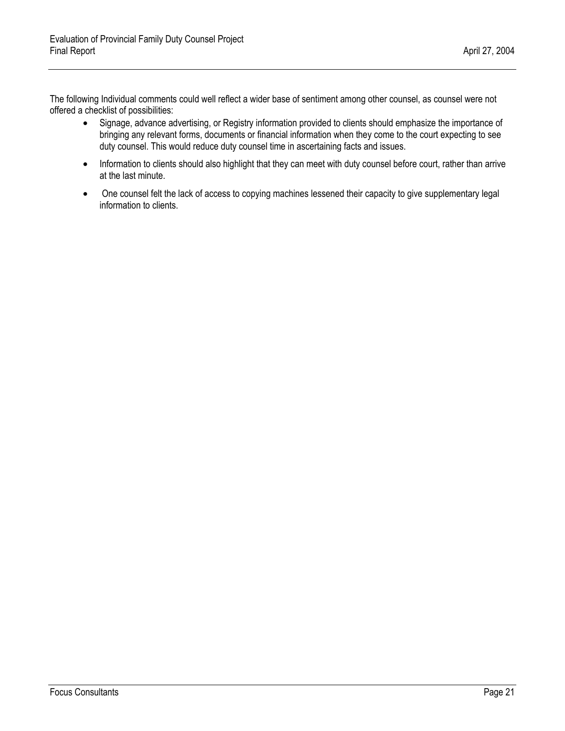The following Individual comments could well reflect a wider base of sentiment among other counsel, as counsel were not offered a checklist of possibilities:

- Signage, advance advertising, or Registry information provided to clients should emphasize the importance of bringing any relevant forms, documents or financial information when they come to the court expecting to see duty counsel. This would reduce duty counsel time in ascertaining facts and issues.
- Information to clients should also highlight that they can meet with duty counsel before court, rather than arrive at the last minute.
- One counsel felt the lack of access to copying machines lessened their capacity to give supplementary legal information to clients.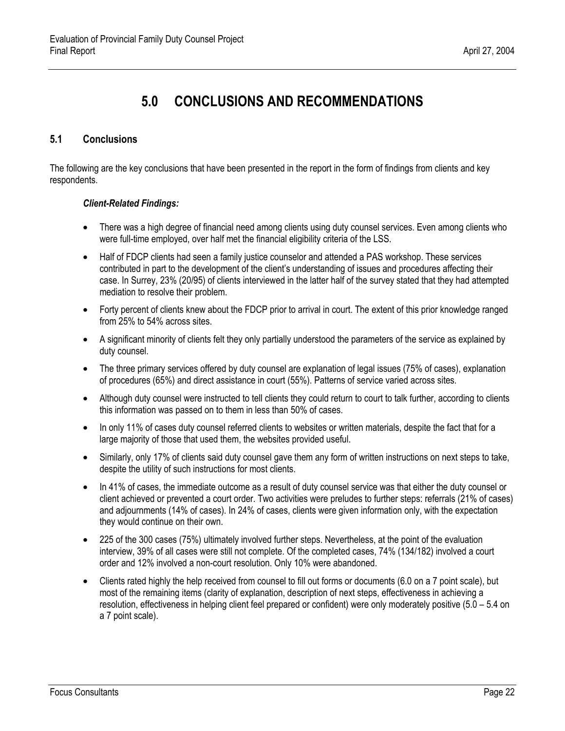# **5.0 CONCLUSIONS AND RECOMMENDATIONS**

## <span id="page-30-1"></span><span id="page-30-0"></span>**5.1 Conclusions**

The following are the key conclusions that have been presented in the report in the form of findings from clients and key respondents.

#### *Client-Related Findings:*

- There was a high degree of financial need among clients using duty counsel services. Even among clients who were full-time employed, over half met the financial eligibility criteria of the LSS.
- Half of FDCP clients had seen a family justice counselor and attended a PAS workshop. These services contributed in part to the development of the client's understanding of issues and procedures affecting their case. In Surrey, 23% (20/95) of clients interviewed in the latter half of the survey stated that they had attempted mediation to resolve their problem.
- Forty percent of clients knew about the FDCP prior to arrival in court. The extent of this prior knowledge ranged from 25% to 54% across sites.
- A significant minority of clients felt they only partially understood the parameters of the service as explained by duty counsel.
- The three primary services offered by duty counsel are explanation of legal issues (75% of cases), explanation of procedures (65%) and direct assistance in court (55%). Patterns of service varied across sites.
- Although duty counsel were instructed to tell clients they could return to court to talk further, according to clients this information was passed on to them in less than 50% of cases.
- In only 11% of cases duty counsel referred clients to websites or written materials, despite the fact that for a large majority of those that used them, the websites provided useful.
- Similarly, only 17% of clients said duty counsel gave them any form of written instructions on next steps to take, despite the utility of such instructions for most clients.
- In 41% of cases, the immediate outcome as a result of duty counsel service was that either the duty counsel or client achieved or prevented a court order. Two activities were preludes to further steps: referrals (21% of cases) and adjournments (14% of cases). In 24% of cases, clients were given information only, with the expectation they would continue on their own.
- 225 of the 300 cases (75%) ultimately involved further steps. Nevertheless, at the point of the evaluation interview, 39% of all cases were still not complete. Of the completed cases, 74% (134/182) involved a court order and 12% involved a non-court resolution. Only 10% were abandoned.
- Clients rated highly the help received from counsel to fill out forms or documents (6.0 on a 7 point scale), but most of the remaining items (clarity of explanation, description of next steps, effectiveness in achieving a resolution, effectiveness in helping client feel prepared or confident) were only moderately positive (5.0 – 5.4 on a 7 point scale).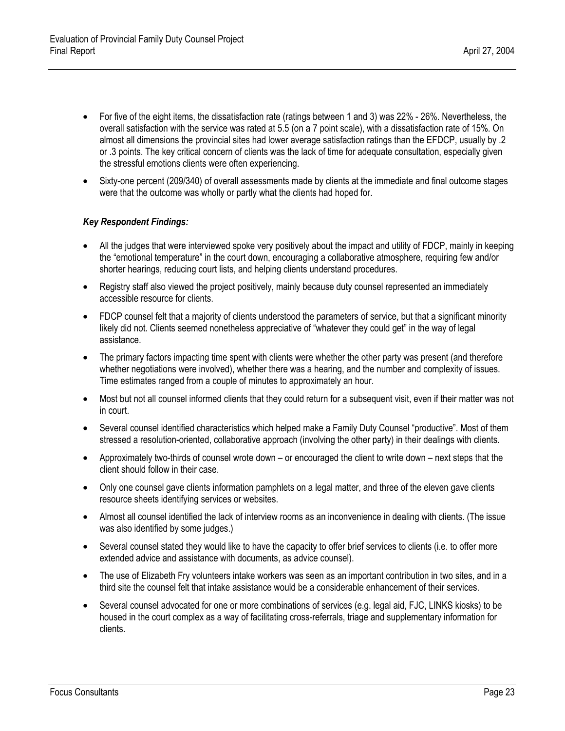- For five of the eight items, the dissatisfaction rate (ratings between 1 and 3) was 22% 26%. Nevertheless, the overall satisfaction with the service was rated at 5.5 (on a 7 point scale), with a dissatisfaction rate of 15%. On almost all dimensions the provincial sites had lower average satisfaction ratings than the EFDCP, usually by .2 or .3 points. The key critical concern of clients was the lack of time for adequate consultation, especially given the stressful emotions clients were often experiencing.
- Sixty-one percent (209/340) of overall assessments made by clients at the immediate and final outcome stages were that the outcome was wholly or partly what the clients had hoped for.

#### *Key Respondent Findings:*

- All the judges that were interviewed spoke very positively about the impact and utility of FDCP, mainly in keeping the "emotional temperature" in the court down, encouraging a collaborative atmosphere, requiring few and/or shorter hearings, reducing court lists, and helping clients understand procedures.
- Registry staff also viewed the project positively, mainly because duty counsel represented an immediately accessible resource for clients.
- FDCP counsel felt that a majority of clients understood the parameters of service, but that a significant minority likely did not. Clients seemed nonetheless appreciative of "whatever they could get" in the way of legal assistance.
- The primary factors impacting time spent with clients were whether the other party was present (and therefore whether negotiations were involved), whether there was a hearing, and the number and complexity of issues. Time estimates ranged from a couple of minutes to approximately an hour.
- Most but not all counsel informed clients that they could return for a subsequent visit, even if their matter was not in court.
- Several counsel identified characteristics which helped make a Family Duty Counsel "productive". Most of them stressed a resolution-oriented, collaborative approach (involving the other party) in their dealings with clients.
- Approximately two-thirds of counsel wrote down or encouraged the client to write down next steps that the client should follow in their case.
- Only one counsel gave clients information pamphlets on a legal matter, and three of the eleven gave clients resource sheets identifying services or websites.
- Almost all counsel identified the lack of interview rooms as an inconvenience in dealing with clients. (The issue was also identified by some judges.)
- Several counsel stated they would like to have the capacity to offer brief services to clients (i.e. to offer more extended advice and assistance with documents, as advice counsel).
- The use of Elizabeth Fry volunteers intake workers was seen as an important contribution in two sites, and in a third site the counsel felt that intake assistance would be a considerable enhancement of their services.
- Several counsel advocated for one or more combinations of services (e.g. legal aid, FJC, LINKS kiosks) to be housed in the court complex as a way of facilitating cross-referrals, triage and supplementary information for clients.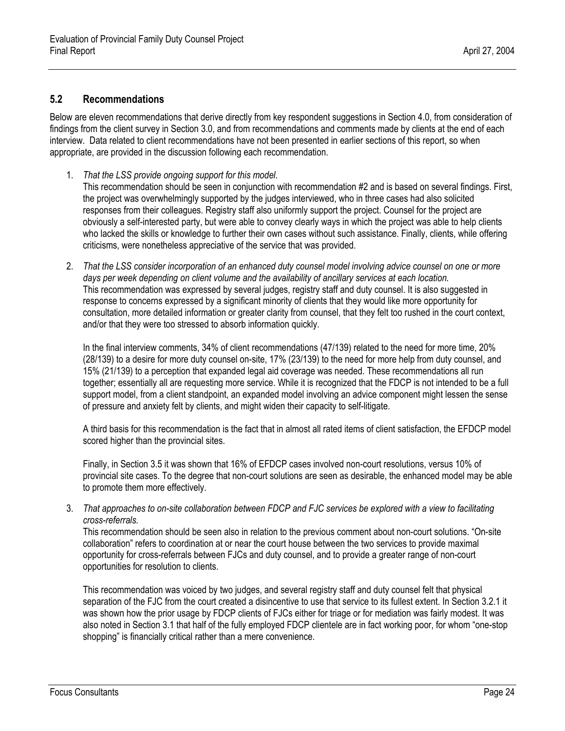#### <span id="page-32-0"></span>**5.2 Recommendations**

Below are eleven recommendations that derive directly from key respondent suggestions in Section 4.0, from consideration of findings from the client survey in Section 3.0, and from recommendations and comments made by clients at the end of each interview. Data related to client recommendations have not been presented in earlier sections of this report, so when appropriate, are provided in the discussion following each recommendation.

- 1. *That the LSS provide ongoing support for this model*. This recommendation should be seen in conjunction with recommendation #2 and is based on several findings. First, the project was overwhelmingly supported by the judges interviewed, who in three cases had also solicited responses from their colleagues. Registry staff also uniformly support the project. Counsel for the project are obviously a self-interested party, but were able to convey clearly ways in which the project was able to help clients who lacked the skills or knowledge to further their own cases without such assistance. Finally, clients, while offering criticisms, were nonetheless appreciative of the service that was provided.
- 2. *That the LSS consider incorporation of an enhanced duty counsel model involving advice counsel on one or more days per week depending on client volume and the availability of ancillary services at each location.* This recommendation was expressed by several judges, registry staff and duty counsel. It is also suggested in response to concerns expressed by a significant minority of clients that they would like more opportunity for consultation, more detailed information or greater clarity from counsel, that they felt too rushed in the court context, and/or that they were too stressed to absorb information quickly.

In the final interview comments, 34% of client recommendations (47/139) related to the need for more time, 20% (28/139) to a desire for more duty counsel on-site, 17% (23/139) to the need for more help from duty counsel, and 15% (21/139) to a perception that expanded legal aid coverage was needed. These recommendations all run together; essentially all are requesting more service. While it is recognized that the FDCP is not intended to be a full support model, from a client standpoint, an expanded model involving an advice component might lessen the sense of pressure and anxiety felt by clients, and might widen their capacity to self-litigate.

A third basis for this recommendation is the fact that in almost all rated items of client satisfaction, the EFDCP model scored higher than the provincial sites.

Finally, in Section 3.5 it was shown that 16% of EFDCP cases involved non-court resolutions, versus 10% of provincial site cases. To the degree that non-court solutions are seen as desirable, the enhanced model may be able to promote them more effectively.

3. *That approaches to on-site collaboration between FDCP and FJC services be explored with a view to facilitating cross-referrals.*

This recommendation should be seen also in relation to the previous comment about non-court solutions. "On-site collaboration" refers to coordination at or near the court house between the two services to provide maximal opportunity for cross-referrals between FJCs and duty counsel, and to provide a greater range of non-court opportunities for resolution to clients.

This recommendation was voiced by two judges, and several registry staff and duty counsel felt that physical separation of the FJC from the court created a disincentive to use that service to its fullest extent. In Section 3.2.1 it was shown how the prior usage by FDCP clients of FJCs either for triage or for mediation was fairly modest. It was also noted in Section 3.1 that half of the fully employed FDCP clientele are in fact working poor, for whom "one-stop shopping" is financially critical rather than a mere convenience.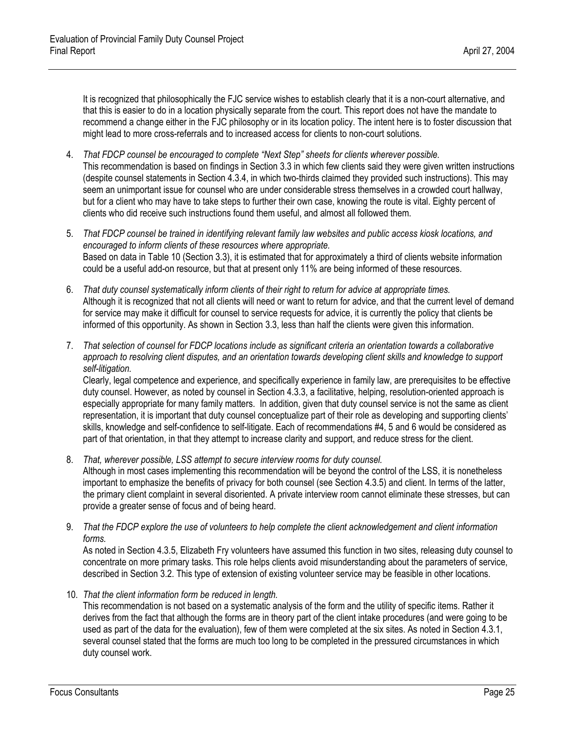It is recognized that philosophically the FJC service wishes to establish clearly that it is a non-court alternative, and that this is easier to do in a location physically separate from the court. This report does not have the mandate to recommend a change either in the FJC philosophy or in its location policy. The intent here is to foster discussion that might lead to more cross-referrals and to increased access for clients to non-court solutions.

- 4. *That FDCP counsel be encouraged to complete "Next Step" sheets for clients wherever possible.*  This recommendation is based on findings in Section 3.3 in which few clients said they were given written instructions (despite counsel statements in Section 4.3.4, in which two-thirds claimed they provided such instructions). This may seem an unimportant issue for counsel who are under considerable stress themselves in a crowded court hallway, but for a client who may have to take steps to further their own case, knowing the route is vital. Eighty percent of clients who did receive such instructions found them useful, and almost all followed them.
- 5. *That FDCP counsel be trained in identifying relevant family law websites and public access kiosk locations, and encouraged to inform clients of these resources where appropriate.*  Based on data in Table 10 (Section 3.3), it is estimated that for approximately a third of clients website information could be a useful add-on resource, but that at present only 11% are being informed of these resources.
- 6. *That duty counsel systematically inform clients of their right to return for advice at appropriate times.* Although it is recognized that not all clients will need or want to return for advice, and that the current level of demand for service may make it difficult for counsel to service requests for advice, it is currently the policy that clients be informed of this opportunity. As shown in Section 3.3, less than half the clients were given this information.
- 7. *That selection of counsel for FDCP locations include as significant criteria an orientation towards a collaborative*  approach to resolving client disputes, and an orientation towards developing client skills and knowledge to support *self-litigation.*

Clearly, legal competence and experience, and specifically experience in family law, are prerequisites to be effective duty counsel. However, as noted by counsel in Section 4.3.3, a facilitative, helping, resolution-oriented approach is especially appropriate for many family matters. In addition, given that duty counsel service is not the same as client representation, it is important that duty counsel conceptualize part of their role as developing and supporting clients' skills, knowledge and self-confidence to self-litigate. Each of recommendations #4, 5 and 6 would be considered as part of that orientation, in that they attempt to increase clarity and support, and reduce stress for the client.

- 8. *That, wherever possible, LSS attempt to secure interview rooms for duty counsel.* Although in most cases implementing this recommendation will be beyond the control of the LSS, it is nonetheless important to emphasize the benefits of privacy for both counsel (see Section 4.3.5) and client. In terms of the latter, the primary client complaint in several disoriented. A private interview room cannot eliminate these stresses, but can provide a greater sense of focus and of being heard.
- 9. *That the FDCP explore the use of volunteers to help complete the client acknowledgement and client information forms.*

As noted in Section 4.3.5, Elizabeth Fry volunteers have assumed this function in two sites, releasing duty counsel to concentrate on more primary tasks. This role helps clients avoid misunderstanding about the parameters of service, described in Section 3.2. This type of extension of existing volunteer service may be feasible in other locations.

10. *That the client information form be reduced in length.* 

This recommendation is not based on a systematic analysis of the form and the utility of specific items. Rather it derives from the fact that although the forms are in theory part of the client intake procedures (and were going to be used as part of the data for the evaluation), few of them were completed at the six sites. As noted in Section 4.3.1, several counsel stated that the forms are much too long to be completed in the pressured circumstances in which duty counsel work.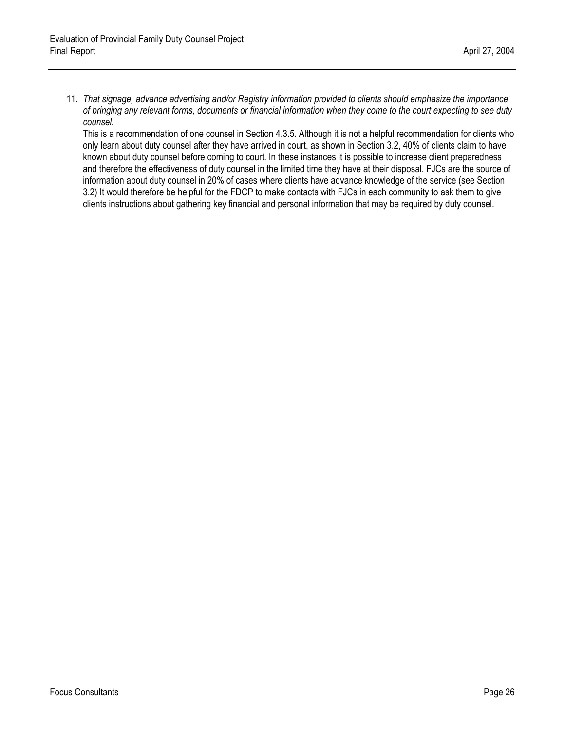11. *That signage, advance advertising and/or Registry information provided to clients should emphasize the importance of bringing any relevant forms, documents or financial information when they come to the court expecting to see duty counsel.*

This is a recommendation of one counsel in Section 4.3.5. Although it is not a helpful recommendation for clients who only learn about duty counsel after they have arrived in court, as shown in Section 3.2, 40% of clients claim to have known about duty counsel before coming to court. In these instances it is possible to increase client preparedness and therefore the effectiveness of duty counsel in the limited time they have at their disposal. FJCs are the source of information about duty counsel in 20% of cases where clients have advance knowledge of the service (see Section 3.2) It would therefore be helpful for the FDCP to make contacts with FJCs in each community to ask them to give clients instructions about gathering key financial and personal information that may be required by duty counsel.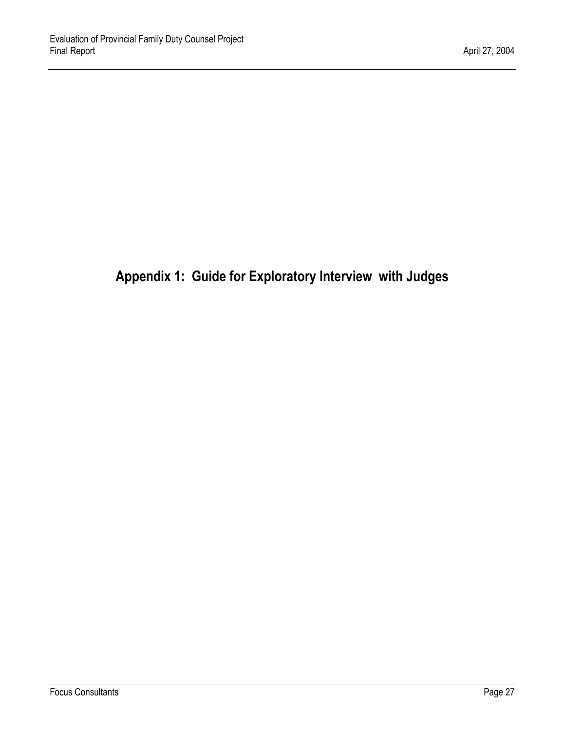# <span id="page-35-1"></span><span id="page-35-0"></span>**Appendix 1: Guide for Exploratory Interview with Judges**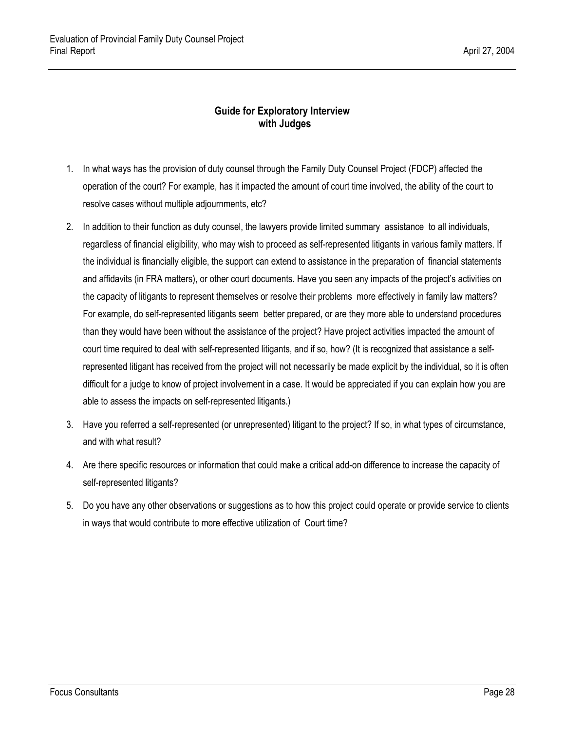## **Guide for Exploratory Interview with Judges**

- 1. In what ways has the provision of duty counsel through the Family Duty Counsel Project (FDCP) affected the operation of the court? For example, has it impacted the amount of court time involved, the ability of the court to resolve cases without multiple adjournments, etc?
- 2. In addition to their function as duty counsel, the lawyers provide limited summary assistance to all individuals, regardless of financial eligibility, who may wish to proceed as self-represented litigants in various family matters. If the individual is financially eligible, the support can extend to assistance in the preparation of financial statements and affidavits (in FRA matters), or other court documents. Have you seen any impacts of the project's activities on the capacity of litigants to represent themselves or resolve their problems more effectively in family law matters? For example, do self-represented litigants seem better prepared, or are they more able to understand procedures than they would have been without the assistance of the project? Have project activities impacted the amount of court time required to deal with self-represented litigants, and if so, how? (It is recognized that assistance a selfrepresented litigant has received from the project will not necessarily be made explicit by the individual, so it is often difficult for a judge to know of project involvement in a case. It would be appreciated if you can explain how you are able to assess the impacts on self-represented litigants.)
- 3. Have you referred a self-represented (or unrepresented) litigant to the project? If so, in what types of circumstance, and with what result?
- 4. Are there specific resources or information that could make a critical add-on difference to increase the capacity of self-represented litigants?
- 5. Do you have any other observations or suggestions as to how this project could operate or provide service to clients in ways that would contribute to more effective utilization of Court time?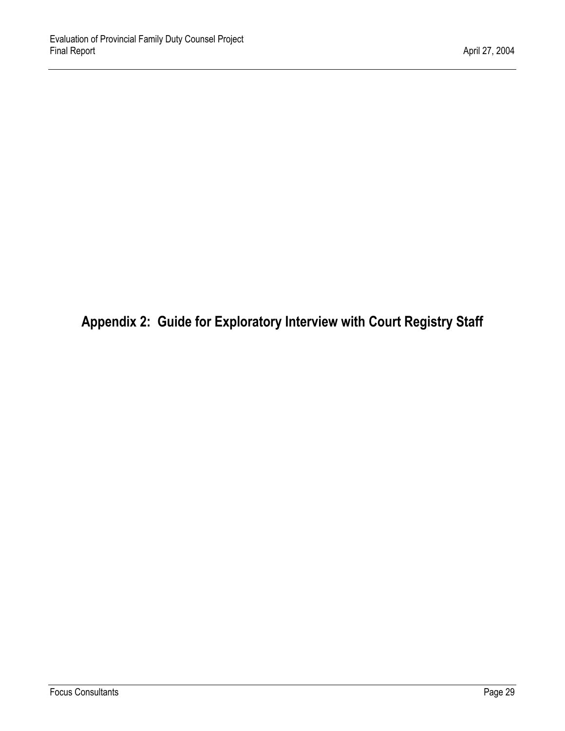<span id="page-37-0"></span>**Appendix 2: Guide for Exploratory Interview with Court Registry Staff**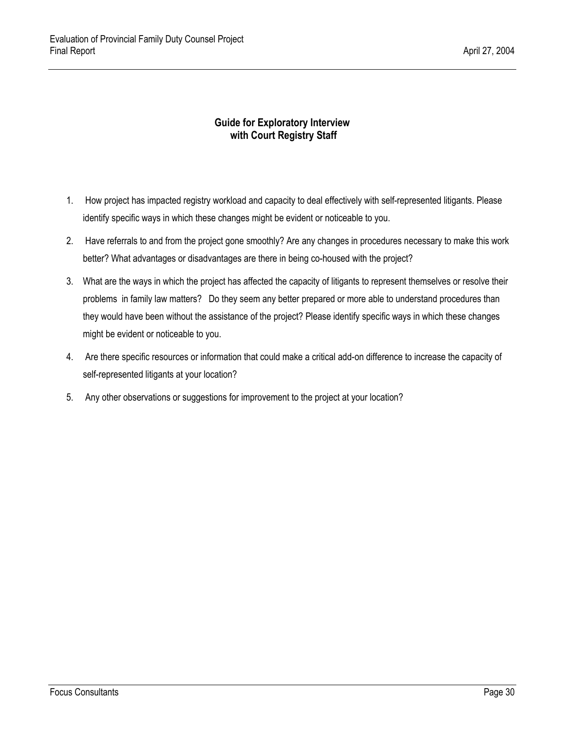## **Guide for Exploratory Interview with Court Registry Staff**

- 1. How project has impacted registry workload and capacity to deal effectively with self-represented litigants. Please identify specific ways in which these changes might be evident or noticeable to you.
- 2. Have referrals to and from the project gone smoothly? Are any changes in procedures necessary to make this work better? What advantages or disadvantages are there in being co-housed with the project?
- 3. What are the ways in which the project has affected the capacity of litigants to represent themselves or resolve their problems in family law matters? Do they seem any better prepared or more able to understand procedures than they would have been without the assistance of the project? Please identify specific ways in which these changes might be evident or noticeable to you.
- 4. Are there specific resources or information that could make a critical add-on difference to increase the capacity of self-represented litigants at your location?
- 5. Any other observations or suggestions for improvement to the project at your location?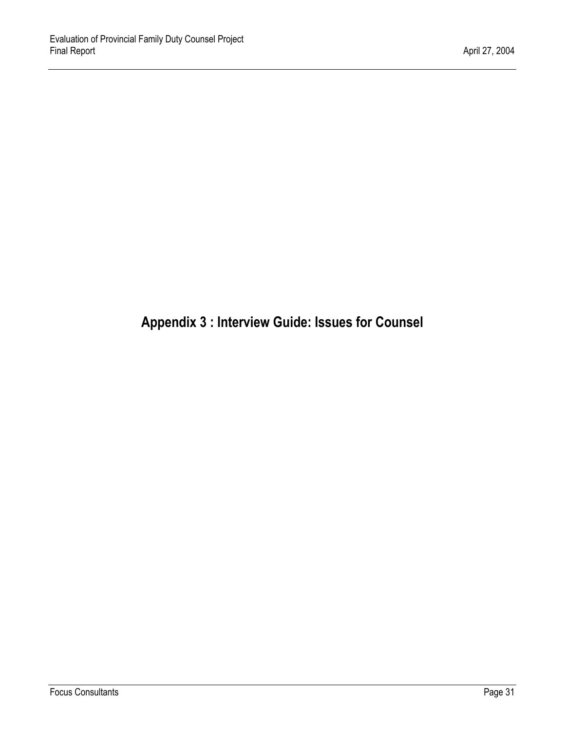# <span id="page-39-0"></span>**Appendix 3 : Interview Guide: Issues for Counsel**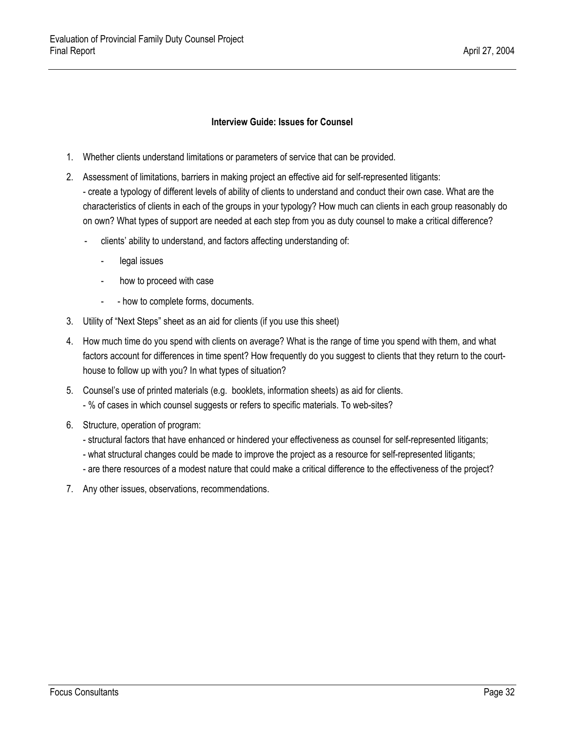#### **Interview Guide: Issues for Counsel**

- 1. Whether clients understand limitations or parameters of service that can be provided.
- 2. Assessment of limitations, barriers in making project an effective aid for self-represented litigants: - create a typology of different levels of ability of clients to understand and conduct their own case. What are the characteristics of clients in each of the groups in your typology? How much can clients in each group reasonably do on own? What types of support are needed at each step from you as duty counsel to make a critical difference?
	- clients' ability to understand, and factors affecting understanding of:
		- legal issues
		- how to proceed with case
		- - how to complete forms, documents.
- 3. Utility of "Next Steps" sheet as an aid for clients (if you use this sheet)
- 4. How much time do you spend with clients on average? What is the range of time you spend with them, and what factors account for differences in time spent? How frequently do you suggest to clients that they return to the courthouse to follow up with you? In what types of situation?
- 5. Counsel's use of printed materials (e.g. booklets, information sheets) as aid for clients. - % of cases in which counsel suggests or refers to specific materials. To web-sites?
- 6. Structure, operation of program:
	- structural factors that have enhanced or hindered your effectiveness as counsel for self-represented litigants;
	- what structural changes could be made to improve the project as a resource for self-represented litigants;
	- are there resources of a modest nature that could make a critical difference to the effectiveness of the project?
- 7. Any other issues, observations, recommendations.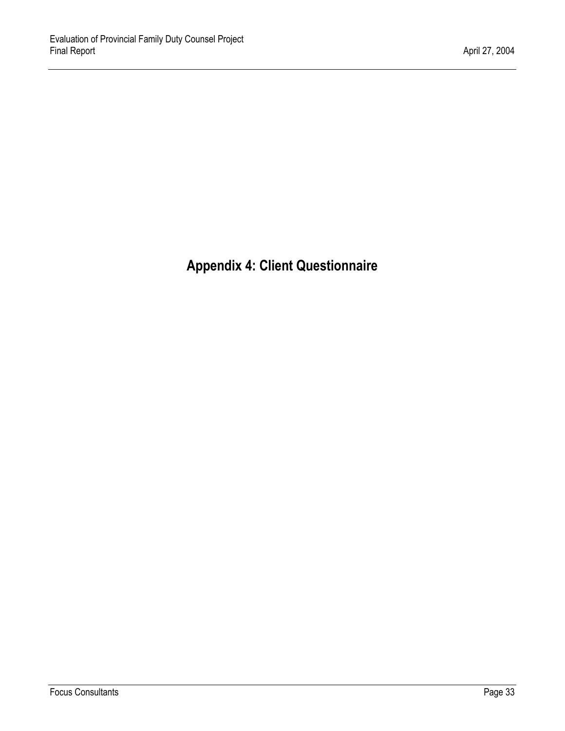<span id="page-41-0"></span>**Appendix 4: Client Questionnaire**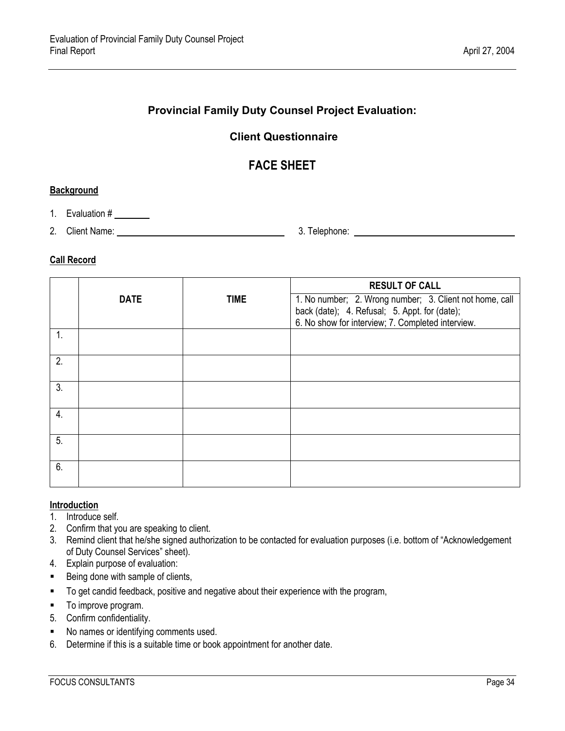# **Provincial Family Duty Counsel Project Evaluation:**

# **Client Questionnaire**

# **FACE SHEET**

#### **Background**

- 1. Evaluation #
- 2. Client Name: 1. 2. Client Name: 1. 2. School and 2. Telephone: 2. Telephone: 2. Telephone: 2. School and 2. Telephone: 2. 2. Telephone: 2. 2. Telephone: 2. 2. Telephone: 2. 2. Telephone: 2. 2. 2. Telephone: 2. 2. 2. 2.

### **Call Record**

|                |             |             | <b>RESULT OF CALL</b>                                                                                                                                         |
|----------------|-------------|-------------|---------------------------------------------------------------------------------------------------------------------------------------------------------------|
|                | <b>DATE</b> | <b>TIME</b> | 1. No number; 2. Wrong number; 3. Client not home, call<br>back (date); 4. Refusal; 5. Appt. for (date);<br>6. No show for interview; 7. Completed interview. |
| $\mathbf{1}$ . |             |             |                                                                                                                                                               |
| 2.             |             |             |                                                                                                                                                               |
| 3.             |             |             |                                                                                                                                                               |
| 4.             |             |             |                                                                                                                                                               |
| 5.             |             |             |                                                                                                                                                               |
| 6.             |             |             |                                                                                                                                                               |

#### **Introduction**

- 1. Introduce self.
- 2. Confirm that you are speaking to client.
- 3. Remind client that he/she signed authorization to be contacted for evaluation purposes (i.e. bottom of "Acknowledgement of Duty Counsel Services" sheet).
- 4. Explain purpose of evaluation:
- Being done with sample of clients,
- To get candid feedback, positive and negative about their experience with the program,
- $\blacksquare$  To improve program.
- 5. Confirm confidentiality.
- No names or identifying comments used.
- 6. Determine if this is a suitable time or book appointment for another date.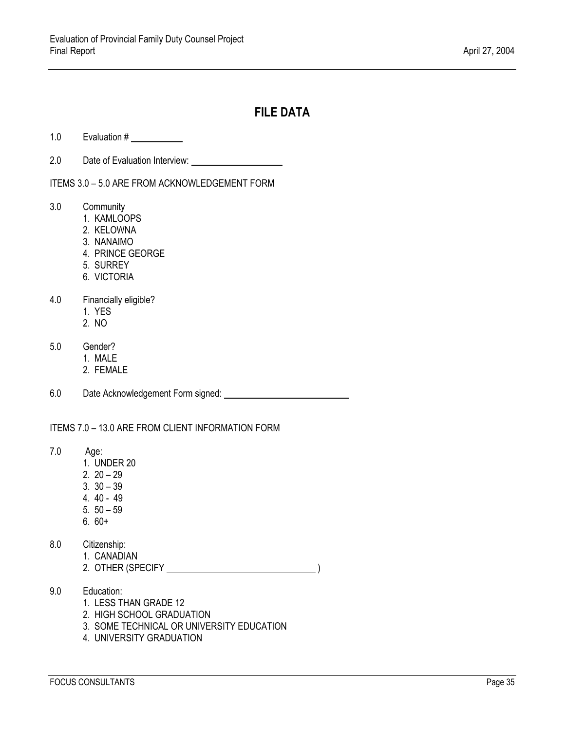# **FILE DATA**

- 1.0 Evaluation #
- 2.0 Date of Evaluation Interview:

ITEMS 3.0 – 5.0 ARE FROM ACKNOWLEDGEMENT FORM

- 3.0 Community
	- 1. KAMLOOPS
	- 2. KELOWNA
	- 3. NANAIMO
	- 4. PRINCE GEORGE
	- 5. SURREY
	- 6. VICTORIA
- 4.0 Financially eligible?
	- 1. YES
	- 2. NO
- 5.0 Gender?
	- 1. MALE
	- 2. FEMALE
- 6.0 Date Acknowledgement Form signed:

ITEMS 7.0 – 13.0 ARE FROM CLIENT INFORMATION FORM

- 7.0 Age:
	- 1. UNDER 20
	- 2. 20 29
	- 3. 30 39
	- 4. 40 49
	- 5. 50 59
	- 6. 60+
- 8.0 Citizenship:
	- 1. CANADIAN
	- 2. OTHER (SPECIFY <u>\_\_\_\_\_\_\_\_\_\_\_\_\_\_\_\_\_\_\_\_\_\_\_\_\_\_\_\_\_\_\_\_\_</u>)
- 9.0 Education:
	- 1. LESS THAN GRADE 12
	- 2. HIGH SCHOOL GRADUATION
	- 3. SOME TECHNICAL OR UNIVERSITY EDUCATION
	- 4. UNIVERSITY GRADUATION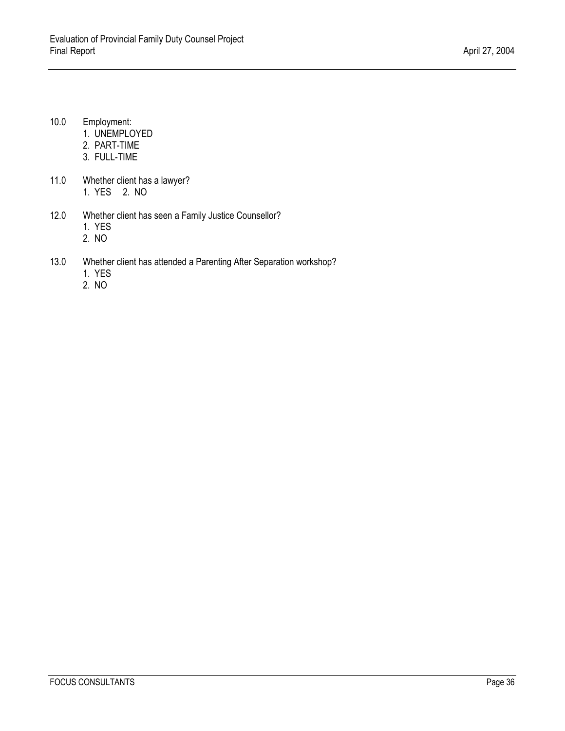- 10.0 Employment:
	- 1. UNEMPLOYED
	- 2. PART-TIME
	- 3. FULL-TIME
- 11.0 Whether client has a lawyer? 1. YES 2. NO
- 12.0 Whether client has seen a Family Justice Counsellor? 1. YES
	- 2. NO
- 13.0 Whether client has attended a Parenting After Separation workshop?
	- 1. YES
	- 2. NO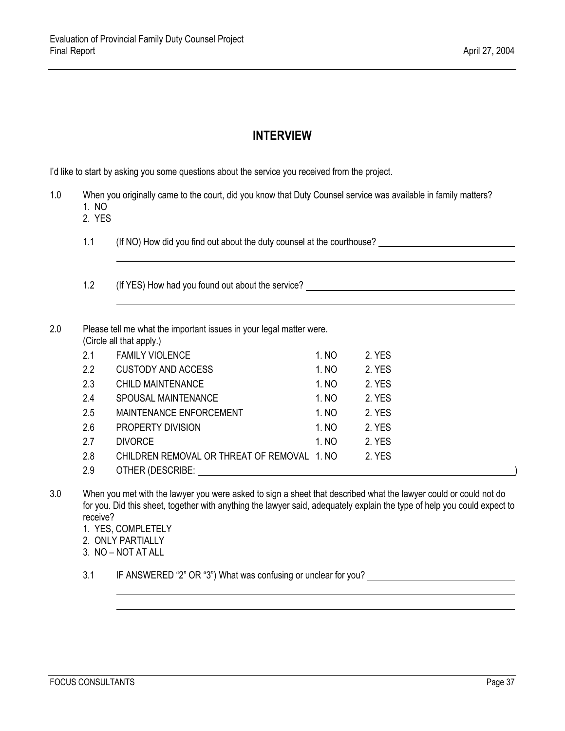# **INTERVIEW**

I'd like to start by asking you some questions about the service you received from the project.

- 1.0 When you originally came to the court, did you know that Duty Counsel service was available in family matters? 1. NO
	- 2. YES

l

l

- 1.1 (If NO) How did you find out about the duty counsel at the courthouse?
- 1.2 (If YES) How had you found out about the service?

#### 2.0 Please tell me what the important issues in your legal matter were. (Circle all that apply.)

|     | .                                           |       |        |
|-----|---------------------------------------------|-------|--------|
| 2.1 | <b>FAMILY VIOLENCE</b>                      | 1. NO | 2. YES |
| 2.2 | <b>CUSTODY AND ACCESS</b>                   | 1. NO | 2. YES |
| 2.3 | <b>CHILD MAINTENANCE</b>                    | 1. NO | 2. YES |
| 2.4 | SPOUSAL MAINTENANCE                         | 1. NO | 2. YES |
| 2.5 | <b>MAINTENANCE ENFORCEMENT</b>              | 1. NO | 2. YES |
| 2.6 | PROPERTY DIVISION                           | 1. NO | 2. YES |
| 2.7 | <b>DIVORCE</b>                              | 1. NO | 2. YES |
| 2.8 | CHILDREN REMOVAL OR THREAT OF REMOVAL 1, NO |       | 2. YES |
| 2.9 | OTHER (DESCRIBE:                            |       |        |
|     |                                             |       |        |

- 3.0 When you met with the lawyer you were asked to sign a sheet that described what the lawyer could or could not do for you. Did this sheet, together with anything the lawyer said, adequately explain the type of help you could expect to receive?
	- 1. YES, COMPLETELY
	- 2. ONLY PARTIALLY
	- 3. NO NOT AT ALL

l

3.1 IF ANSWERED "2" OR "3") What was confusing or unclear for you?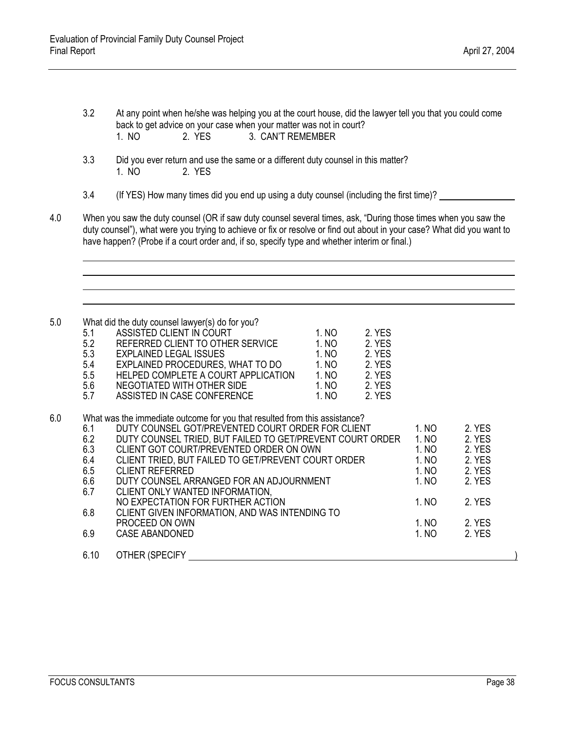3.2 At any point when he/she was helping you at the court house, did the lawyer tell you that you could come back to get advice on your case when your matter was not in court? 1. NO 2. YES 3. CAN'T REMEMBER

- 3.3 Did you ever return and use the same or a different duty counsel in this matter? 1. NO 2. YES
- 3.4 (If YES) How many times did you end up using a duty counsel (including the first time)?
- 4.0 When you saw the duty counsel (OR if saw duty counsel several times, ask, "During those times when you saw the duty counsel"), what were you trying to achieve or fix or resolve or find out about in your case? What did you want to have happen? (Probe if a court order and, if so, specify type and whether interim or final.)

5.0 What did the duty counsel lawyer(s) do for you?

|     | <b>VILLAL QUILE QUILY COULSEL LAWYER (S) QUILDI YOU!</b> |       |        |  |
|-----|----------------------------------------------------------|-------|--------|--|
| 5.1 | ASSISTED CLIENT IN COURT                                 | 1. NO | 2. YES |  |
| 5.2 | REFERRED CLIENT TO OTHER SERVICE                         | 1. NO | 2. YES |  |
| 5.3 | <b>EXPLAINED LEGAL ISSUES</b>                            | 1. NO | 2. YES |  |
| 5.4 | EXPLAINED PROCEDURES, WHAT TO DO                         | 1. NO | 2. YES |  |
| 5.5 | HELPED COMPLETE A COURT APPLICATION                      | 1. NO | 2. YES |  |
| 5.6 | NEGOTIATED WITH OTHER SIDE                               | 1. NO | 2. YES |  |
| 5.7 | ASSISTED IN CASE CONFERENCE                              | 1. NO | 2. YES |  |
|     |                                                          |       |        |  |

6.0 What was the immediate outcome for you that resulted from this assistance?

| 6.1  | DUTY COUNSEL GOT/PREVENTED COURT ORDER FOR CLIENT         | 1. NO | 2. YES |  |
|------|-----------------------------------------------------------|-------|--------|--|
| 6.2  | DUTY COUNSEL TRIED, BUT FAILED TO GET/PREVENT COURT ORDER | 1. NO | 2. YES |  |
| 6.3  | CLIENT GOT COURT/PREVENTED ORDER ON OWN                   | 1. NO | 2. YES |  |
| 6.4  | CLIENT TRIED, BUT FAILED TO GET/PREVENT COURT ORDER       | 1. NO | 2. YES |  |
| 6.5  | <b>CLIENT REFERRED</b>                                    | 1. NO | 2. YES |  |
| 6.6  | DUTY COUNSEL ARRANGED FOR AN ADJOURNMENT                  | 1. NO | 2. YES |  |
| 6.7  | CLIENT ONLY WANTED INFORMATION,                           |       |        |  |
|      | NO EXPECTATION FOR FURTHER ACTION                         | 1. NO | 2. YES |  |
| 6.8  | CLIENT GIVEN INFORMATION, AND WAS INTENDING TO            |       |        |  |
|      | PROCEED ON OWN                                            | 1. NO | 2. YES |  |
| 6.9  | CASE ABANDONED                                            | 1. NO | 2. YES |  |
|      |                                                           |       |        |  |
| 6.10 | OTHER (SPECIFY                                            |       |        |  |
|      |                                                           |       |        |  |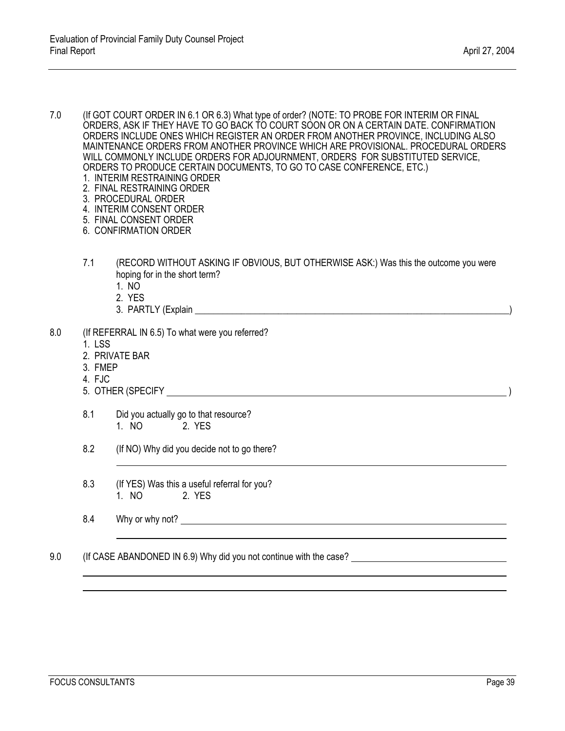7.0 (If GOT COURT ORDER IN 6.1 OR 6.3) What type of order? (NOTE: TO PROBE FOR INTERIM OR FINAL ORDERS, ASK IF THEY HAVE TO GO BACK TO COURT SOON OR ON A CERTAIN DATE. CONFIRMATION ORDERS INCLUDE ONES WHICH REGISTER AN ORDER FROM ANOTHER PROVINCE, INCLUDING ALSO MAINTENANCE ORDERS FROM ANOTHER PROVINCE WHICH ARE PROVISIONAL. PROCEDURAL ORDERS WILL COMMONLY INCLUDE ORDERS FOR ADJOURNMENT, ORDERS FOR SUBSTITUTED SERVICE, ORDERS TO PRODUCE CERTAIN DOCUMENTS, TO GO TO CASE CONFERENCE, ETC.)

- 1. INTERIM RESTRAINING ORDER
- 2. FINAL RESTRAINING ORDER
- 3. PROCEDURAL ORDER
- 4. INTERIM CONSENT ORDER
- 5. FINAL CONSENT ORDER
- 6. CONFIRMATION ORDER
- 7.1 (RECORD WITHOUT ASKING IF OBVIOUS, BUT OTHERWISE ASK:) Was this the outcome you were hoping for in the short term?
	- 1. NO
	- 2. YES
	- 3. PARTLY (Explain \_\_\_\_\_\_\_\_\_\_\_\_\_\_\_\_\_\_\_\_\_\_\_\_\_\_\_\_\_\_\_\_\_\_\_\_\_\_\_\_\_\_\_\_\_\_\_\_\_\_\_\_\_\_\_\_\_\_\_\_\_\_\_\_\_\_\_\_)
- 8.0 (If REFERRAL IN 6.5) To what were you referred?
	- 1. LSS
	- 2. PRIVATE BAR
	- 3. FMEP
	- 4. FJC
	- 5. OTHER (SPECIFY )
	- 8.1 Did you actually go to that resource? 1. NO 2. YES
	- 8.2 (If NO) Why did you decide not to go there?
	- 8.3 (If YES) Was this a useful referral for you? 1. NO 2. YES
	- 8.4 Why or why not?
- 9.0 (If CASE ABANDONED IN 6.9) Why did you not continue with the case?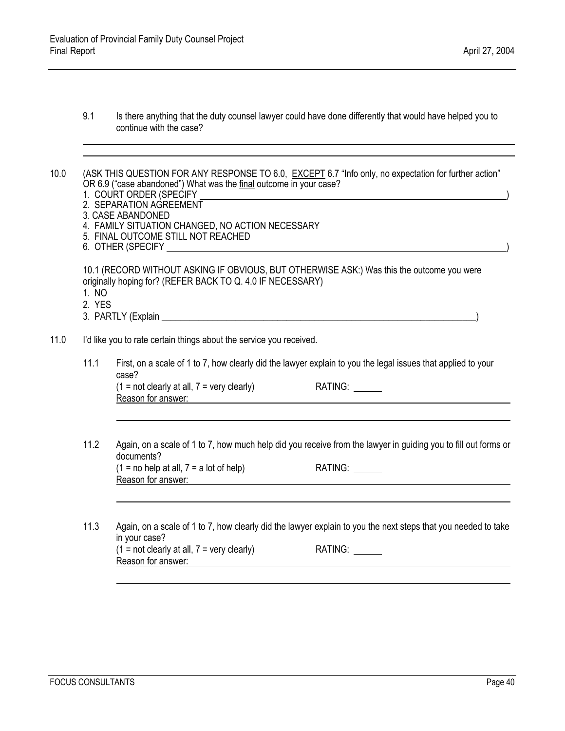9.1 Is there anything that the duty counsel lawyer could have done differently that would have helped you to continue with the case?

10.0 (ASK THIS QUESTION FOR ANY RESPONSE TO 6.0, EXCEPT 6.7 "Info only, no expectation for further action" OR 6.9 ("case abandoned") What was the final outcome in your case?

- 1. COURT ORDER (SPECIFY )
- 2. SEPARATION AGREEMENT
- 3. CASE ABANDONED
- 4. FAMILY SITUATION CHANGED, NO ACTION NECESSARY<br>5. FINAL OUTCOME STILL NOT REACHED
- 5. FINAL OUTCOME STILL NOT REACHED
- 6. OTHER (SPECIFY )

10.1 (RECORD WITHOUT ASKING IF OBVIOUS, BUT OTHERWISE ASK:) Was this the outcome you were originally hoping for? (REFER BACK TO Q. 4.0 IF NECESSARY)

- 1. NO
- 2. YES
- 3. PARTLY (Explain  $\Box$
- 11.0 I'd like you to rate certain things about the service you received.
	- 11.1 First, on a scale of 1 to 7, how clearly did the lawyer explain to you the legal issues that applied to your case?  $(1 = not clearly at all, 7 = very clearly)$

Reason for answer:

| RATING: |  |
|---------|--|
|---------|--|

- 11.2 Again, on a scale of 1 to 7, how much help did you receive from the lawyer in guiding you to fill out forms or documents?  $(1 = no help at all, 7 = a lot of help)$  RATING:  $\qquad \qquad$ Reason for answer:
- 11.3 Again, on a scale of 1 to 7, how clearly did the lawyer explain to you the next steps that you needed to take in your case? In your case  $\epsilon$ <br>(1 = not clearly at all, 7 = very clearly) RATING: \_\_\_\_\_\_\_ Reason for answer: